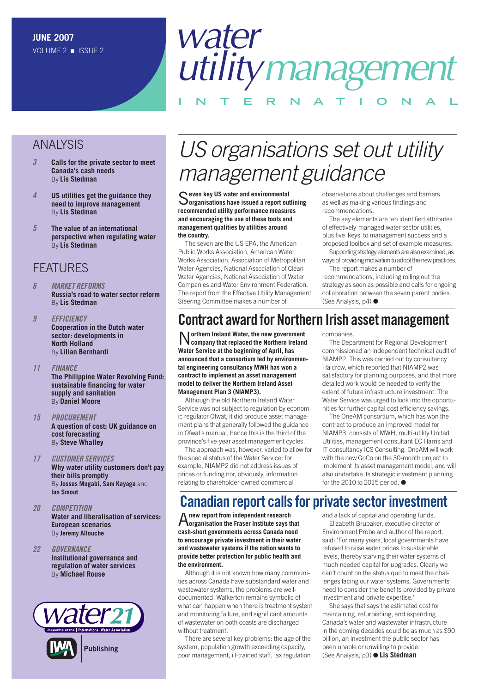#### ANALYSIS

- **3 [Calls for the private sector to meet](#page-2-0)  Canada's cash needs** By **Lis Stedman**
- **4 [US utilities get the guidance they](#page-3-0)  need to improve management** By **Lis Stedman**
- **5 The value of an international [perspective when regulating water](#page-4-0)** By **Lis Stedman**

#### **FFATURES**

- **6 MARKET REFORMS [Russia's road to water sector reform](#page-5-0)** By **Lis Stedman**
- **9 EFFICIENCY [Cooperation in the Dutch water](#page-8-0)  sector: developments in North Holland**  By **Lilian Bernhardi**

#### **11 FINANCE**

**[The Philippine Water Revolving Fund:](#page-10-0) sustainable financing for water supply and sanitation** By **Daniel Moore**

- **15 PROCUREMENT [A question of cost: UK guidance on](#page-14-0) cost forecasting** By **Steve Whalley**
- **17 CUSTOMER SERVICES [Why water utility customers don't pay](#page-16-0)  their bills promptly** By **Josses Mugabi, Sam Kayaga** and **Ian Smout**
- **20 COMPETITION [Water and liberalisation of services:](#page-19-0)  European scenarios** By **Jeremy Allouche**
- **22 GOVERNANCE [Institutional governance and](#page-21-0)  regulation of water services** By **Michael Rouse**



## US organisations set out utility management guidance

S**even key US water and environmental organisations have issued a report outlining recommended utility performance measures and encouraging the use of these tools and management qualities by utilities around the country.**

The seven are the US EPA, the American Public Works Association, American Water Works Association, Association of Metropolitan Water Agencies, National Association of Clean Water Agencies, National Association of Water Companies and Water Environment Federation. The report from the Effective Utility Management Steering Committee makes a number of

observations about challenges and barriers as well as making various findings and recommendations.

The key elements are ten identified attributes of effectively-managed water sector utilities, plus five 'keys' to management success and a proposed toolbox and set of example measures.

Supporting strategy elements are also examined, as ways of providing motivation to adopt the new practices.

The report makes a number of recommendations, including rolling out the strategy as soon as possible and calls for ongoing collaboration between the seven parent bodies. (See Analysis, p4) ●

## **Contract award for Northern Irish asset management**

N**orthern Ireland Water, the new government company that replaced the Northern Ireland Water Service at the beginning of April, has announced that a consortium led by environmental engineering consultancy MWH has won a contract to implement an asset management model to deliver the Northern Ireland Asset Management Plan 3 (NIAMP3).**

Although the old Northern Ireland Water Service was not subject to regulation by economic regulator Ofwat, it did produce asset management plans that generally followed the guidance in Ofwat's manual, hence this is the third of the province's five-year asset management cycles.

The approach was, however, varied to allow for the special status of the Water Service: for example, NIAMP2 did not address issues of prices or funding nor, obviously, information relating to shareholder-owned commercial

companies. The Department for Regional Development commissioned an independent technical audit of NIAMP2. This was carried out by consultancy Halcrow, which reported that NIAMP2 was satisfactory for planning purposes, and that more

detailed work would be needed to verify the extent of future infrastructure investment. The Water Service was urged to look into the opportunities for further capital cost efficiency savings.

The OneAM consortium, which has won the contract to produce an improved model for NIAMP3, consists of MWH, multi-utility United Utilities, management consultant EC Harris and IT consultancy ICS Consulting. OneAM will work with the new GoCo on the 30-month project to implement its asset management model, and will also undertake its strategic investment planning for the 2010 to 2015 period. ●

### **Canadian report calls for private sector investment**

A**new report from independent research organisation the Fraser Institute says that cash-short governments across Canada need to encourage private investment in their water and wastewater systems if the nation wants to provide better protection for public health and the environment.**

Although it is not known how many communities across Canada have substandard water and wastewater systems, the problems are welldocumented. Walkerton remains symbolic of what can happen when there is treatment system and monitoring failure, and significant amounts of wastewater on both coasts are discharged without treatment.

There are several key problems: the age of the system, population growth exceeding capacity, poor management, ill-trained staff, lax regulation and a lack of capital and operating funds.

Elizabeth Brubaker, executive director of Environment Probe and author of the report, said: 'For many years, local governments have refused to raise water prices to sustainable levels, thereby starving their water systems of much needed capital for upgrades. Clearly we can't count on the status quo to meet the challenges facing our water systems. Governments need to consider the benefits provided by private investment and private expertise.'

She says that says the estimated cost for maintaining, refurbishing, and expanding Canada's water and wastewater infrastructure in the coming decades could be as much as \$90 billion, an investment the public sector has been unable or unwilling to provide. (See Analysis, p3) ● **Lis Stedman**

## water utilitymanagement **INTERNAT IONAL**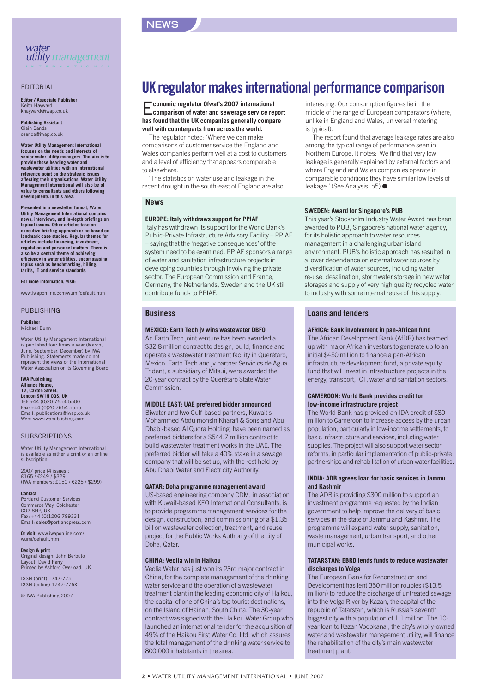

#### EDITORIAL

**Editor / Associate Publisher** Keith Hayward khayward@iwap.co.uk

**Publishing Assistant** Oisin Sands osands@iwap.co.uk

**Water Utility Management International focuses on the needs and interests of senior water utility managers. The aim is to provide those heading water and wastewater utilities with an international reference point on the strategic issues affecting their organisations. Water Utility Management International will also be of value to consultants and others following developments in this area.**

**Presented in a newsletter format, Water Utility Management International contains news, interviews, and in-depth briefings on topical issues. Other articles take an executive briefing approach or be based on landmark case studies. Regular themes for articles include financing, investment, regulation and personnel matters. There is also be a central theme of achieving efficiency in water utilities, encompassing topics such as benchmarking, billing, tariffs, IT and service standards.**

**For more information, visit:**

www.iwaponline.com/wumi/default.htm

#### PUBLISHING

#### **Publisher** Michael Dunn

Water Utility Management International is published four times a year (March, June, September, December) by IWA Publishing. Statements made do not represent the views of the International Water Association or its Governing Board.

#### **IWA Publishing**

**Alliance House, 12, Caxton Street, London SW1H 0QS, UK** Tel: +44 (0)20 7654 5500 Fax: +44 (0)20 7654 5555 Email: publications@iwap.co.uk Web: www.iwapublishing.com

#### **SUBSCRIPTIONS**

Water Utility Management International is available as either a print or an online subscription.

2007 price (4 issues): £165 / €249 / \$329 (IWA members: £150 / €225 / \$299)

**Contact** Portland Customer Services Commerce Way, Colchester CO2 8HP, UK Fax: +44 (0)1206 799331 Email: sales@portlandpress.com

**Or visit:** www.iwaponline.com/ wumi/default.htm

**Design & print** Original design: John Berbuto Layout: David Parry Printed by Ashford Overload, UK

ISSN (print) 1747-7751 ISSN (online) 1747-776X

© IWA Publishing 2007

## **UK regulator makes international performance comparison**

E**conomic regulator Ofwat's 2007 international comparison of water and sewerage service report has found that the UK companies generally compare well with counterparts from across the world.**

The regulator noted: 'Where we can make comparisons of customer service the England and Wales companies perform well at a cost to customers and a level of efficiency that appears comparable to elsewhere.

'The statistics on water use and leakage in the recent drought in the south-east of England are also

#### **News**

**NEWS**

#### **EUROPE: Italy withdraws support for PPIAF**

Italy has withdrawn its support for the World Bank's Public-Private Infrastructure Advisory Facility – PPIAF – saying that the 'negative consequences' of the system need to be examined. PPIAF sponsors a range of water and sanitation infrastructure projects in developing countries through involving the private sector. The European Commission and France, Germany, the Netherlands, Sweden and the UK still contribute funds to PPIAF.

#### **Business**

#### **MEXICO: Earth Tech jv wins wastewater DBFO**

An Earth Tech joint venture has been awarded a \$32.8 million contract to design, build, finance and operate a wastewater treatment facility in Querétaro, Mexico. Earth Tech and jv partner Servicios de Agua Trident, a subsidiary of Mitsui, were awarded the 20-year contract by the Querétaro State Water Commission.

#### **MIDDLE EAST: UAE preferred bidder announced**

Biwater and two Gulf-based partners, Kuwait's Mohammed Abdulmohsin Kharafi & Sons and Abu Dhabi-based Al Qudra Holding, have been named as preferred bidders for a \$544.7 million contract to build wastewater treatment works in the UAE. The preferred bidder will take a 40% stake in a sewage company that will be set up, with the rest held by Abu Dhabi Water and Electricity Authority.

#### **QATAR: Doha programme management award**

US-based engineering company CDM, in association with Kuwait-based KEO International Consultants, is to provide programme management services for the design, construction, and commissioning of a \$1.35 billion wastewater collection, treatment, and reuse project for the Public Works Authority of the city of Doha, Qatar.

#### **CHINA: Veolia win in Haikou**

Veolia Water has just won its 23rd major contract in China, for the complete management of the drinking water service and the operation of a wastewater treatment plant in the leading economic city of Haikou, the capital of one of China's top tourist destinations, on the Island of Hainan, South China. The 30-year contract was signed with the Haikou Water Group who launched an international tender for the acquisition of 49% of the Haikou First Water Co. Ltd, which assures the total management of the drinking water service to 800,000 inhabitants in the area.

interesting. Our consumption figures lie in the middle of the range of European comparators (where, unlike in England and Wales, universal metering is typical).

The report found that average leakage rates are also among the typical range of performance seen in Northern Europe. It notes: 'We find that very low leakage is generally explained by external factors and where England and Wales companies operate in comparable conditions they have similar low levels of leakage.' (See Analysis, p5) ●

#### **SWEDEN: Award for Singapore's PUB**

This year's Stockholm Industry Water Award has been awarded to PUB, Singapore's national water agency, for its holistic approach to water resources management in a challenging urban island environment. PUB's holistic approach has resulted in a lower dependence on external water sources by diversification of water sources, including water re-use, desalination, stormwater storage in new water storages and supply of very high quality recycled water to industry with some internal reuse of this supply.

#### **Loans and tenders**

#### **AFRICA: Bank involvement in pan-African fund**

The African Development Bank (AfDB) has teamed up with major African investors to generate up to an initial \$450 million to finance a pan-African infrastructure development fund, a private equity fund that will invest in infrastructure projects in the energy, transport, ICT, water and sanitation sectors.

#### **CAMEROON: World Bank provides credit for low-income infrastructure project**

The World Bank has provided an IDA credit of \$80 million to Cameroon to increase access by the urban population, particularly in low-income settlements, to basic infrastructure and services, including water supplies. The project will also support water sector reforms, in particular implementation of public-private partnerships and rehabilitation of urban water facilities.

#### **INDIA: ADB agrees loan for basic services in Jammu and Kashmir**

The ADB is providing \$300 million to support an investment programme requested by the Indian government to help improve the delivery of basic services in the state of Jammu and Kashmir. The programme will expand water supply, sanitation, waste management, urban transport, and other municipal works.

#### **TATARSTAN: EBRD lends funds to reduce wastewater discharges to Volga**

The European Bank for Reconstruction and Development has lent 350 million roubles (\$13.5 million) to reduce the discharge of untreated sewage into the Volga River by Kazan, the capital of the republic of Tatarstan, which is Russia's seventh biggest city with a population of 1.1 million. The 10 year loan to Kazan Vodokanal, the city's wholly-owned water and wastewater management utility, will finance the rehabilitation of the city's main wastewater treatment plant.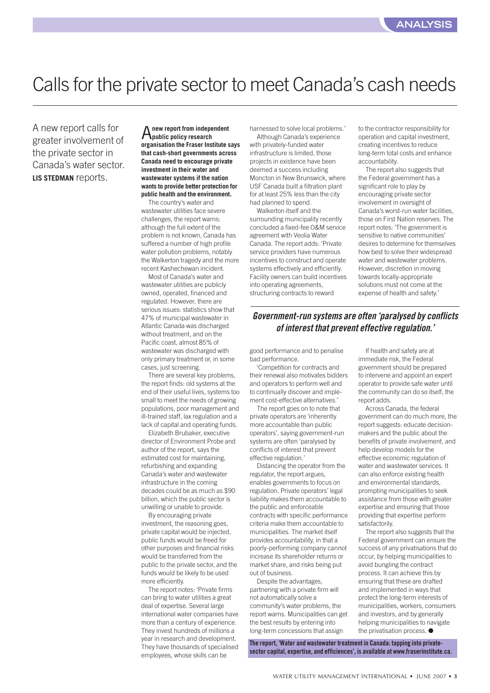## <span id="page-2-0"></span>Calls for the private sector to meet Canada's cash needs

A new report calls for greater involvement of the private sector in Canada's water sector. **LIS STEDMAN** reports.

#### A**new report from independent public policy research organisation the Fraser Institute says that cash-short governments across Canada need to encourage private investment in their water and wastewater systems if the nation wants to provide better protection for public health and the environment.**

The country's water and wastewater utilities face severe challenges, the report warns: although the full extent of the problem is not known, Canada has suffered a number of high profile water pollution problems, notably the Walkerton tragedy and the more recent Kashechewan incident.

Most of Canada's water and wastewater utilities are publicly owned, operated, financed and regulated. However, there are serious issues: statistics show that 47% of municipal wastewater in Atlantic Canada was discharged without treatment, and on the Pacific coast, almost 85% of wastewater was discharged with only primary treatment or, in some cases, just screening.

There are several key problems, the report finds: old systems at the end of their useful lives, systems too small to meet the needs of growing populations, poor management and ill-trained staff, lax regulation and a lack of capital and operating funds.

Elizabeth Brubaker, executive director of Environment Probe and author of the report, says the estimated cost for maintaining, refurbishing and expanding Canada's water and wastewater infrastructure in the coming decades could be as much as \$90 billion, which the public sector is unwilling or unable to provide.

By encouraging private investment, the reasoning goes, private capital would be injected, public funds would be freed for other purposes and financial risks would be transferred from the public to the private sector, and the funds would be likely to be used more efficiently.

The report notes: 'Private firms can bring to water utilities a great deal of expertise. Several large international water companies have more than a century of experience. They invest hundreds of millions a year in research and development. They have thousands of specialised employees, whose skills can be

harnessed to solve local problems.'

Although Canada's experience with privately-funded water infrastructure is limited, those projects in existence have been deemed a success including Moncton in New Brunswick, where USF Canada built a filtration plant for at least 25% less than the city had planned to spend.

Walkerton itself and the surrounding municipality recently concluded a fixed-fee O&M service agreement with Veolia Water Canada. The report adds: 'Private service providers have numerous incentives to construct and operate systems effectively and efficiently. Facility owners can build incentives into operating agreements, structuring contracts to reward

to the contractor responsibility for operation and capital investment, creating incentives to reduce long-term total costs and enhance accountability.

The report also suggests that the Federal government has a significant role to play by encouraging private sector involvement in oversight of Canada's worst-run water facilities, those on First Nation reserves. The report notes: 'The government is sensitive to native communities' desires to determine for themselves how best to solve their widespread water and wastewater problems. However, discretion in moving towards locally-appropriate solutions must not come at the expense of health and safety.'

#### **Government-run systems are often 'paralysed by conflicts of interest that prevent effective regulation.'**

good performance and to penalise bad performance.

'Competition for contracts and their renewal also motivates bidders and operators to perform well and to continually discover and implement cost-effective alternatives.'

The report goes on to note that private operators are 'inherently more accountable than public operators', saying government-run systems are often 'paralysed by conflicts of interest that prevent effective regulation.'

Distancing the operator from the regulator, the report argues, enables governments to focus on regulation. Private operators' legal liability makes them accountable to the public and enforceable contracts with specific performance criteria make them accountable to municipalities. The market itself provides accountability, in that a poorly-performing company cannot increase its shareholder returns or market share, and risks being put out of business.

Despite the advantages, partnering with a private firm will not automatically solve a community's water problems, the report warns. Municipalities can get the best results by entering into long-term concessions that assign

**The report, 'Water and wastewater treatment in Canada: tapping into privatesector capital, expertise, and efficiences', is available at www.fraserinstitute.ca.** 

If health and safety are at immediate risk, the Federal government should be prepared to intervene and appoint an expert operator to provide safe water until the community can do so itself, the report adds.

Across Canada, the federal government can do much more, the report suggests: educate decisionmakers and the public about the benefits of private involvement, and help develop models for the effective economic regulation of water and wastewater services. It can also enforce existing health and environmental standards, prompting municipalities to seek assistance from those with greater expertise and ensuring that those providing that expertise perform satisfactorily.

The report also suggests that the Federal government can ensure the success of any privatisations that do occur, by helping municipalities to avoid bungling the contract process. It can achieve this by ensuring that these are drafted and implemented in ways that protect the long-term interests of municipalities, workers, consumers and investors, and by generally helping municipalities to navigate the privatisation process. ●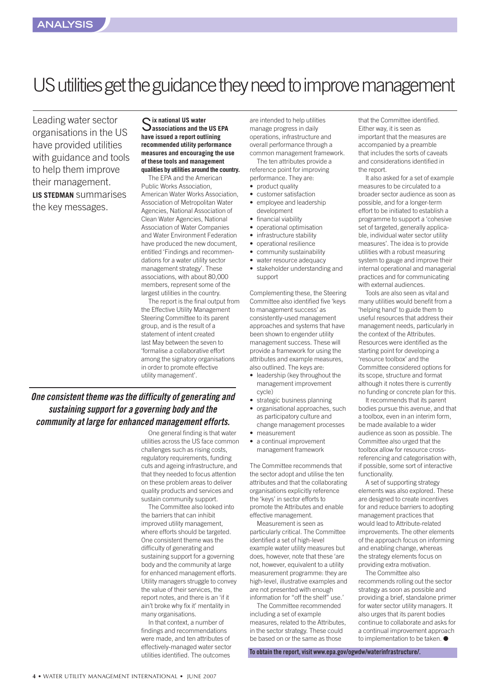## <span id="page-3-0"></span>US utilities get the guidance they need to improve management

Leading water sector organisations in the US have provided utilities with guidance and tools to help them improve their management. **LIS STEDMAN** summarises the key messages.

#### S**ix national US water associations and the US EPA have issued a report outlining recommended utility performance measures and encouraging the use of these tools and management qualities by utilities around the country.**

The EPA and the American Public Works Association, American Water Works Association, Association of Metropolitan Water Agencies, National Association of Clean Water Agencies, National Association of Water Companies and Water Environment Federation have produced the new document, entitled 'Findings and recommendations for a water utility sector management strategy'. These associations, with about 80,000 members, represent some of the largest utilities in the country.

The report is the final output from the Effective Utility Management Steering Committee to its parent group, and is the result of a statement of intent created last May between the seven to 'formalise a collaborative effort among the signatory organisations in order to promote effective utility management'.

#### **One consistent theme was the difficulty of generating and sustaining support for a governing body and the community at large for enhanced management efforts.**

One general finding is that water utilities across the US face common challenges such as rising costs, regulatory requirements, funding cuts and ageing infrastructure, and that they needed to focus attention on these problem areas to deliver quality products and services and sustain community support.

The Committee also looked into the barriers that can inhibit improved utility management, where efforts should be targeted. One consistent theme was the difficulty of generating and sustaining support for a governing body and the community at large for enhanced management efforts. Utility managers struggle to convey the value of their services, the report notes, and there is an 'if it ain't broke why fix it' mentality in many organisations.

In that context, a number of findings and recommendations were made, and ten attributes of effectively-managed water sector utilities identified. The outcomes

are intended to help utilities manage progress in daily operations, infrastructure and overall performance through a common management framework.

The ten attributes provide a reference point for improving performance. They are:

- product quality
- customer satisfaction
- employee and leadership development
- financial viability
- operational optimisation
- infrastructure stability
- operational resilience
- community sustainability
- water resource adequacy
- stakeholder understanding and support

Complementing these, the Steering Committee also identified five 'keys to management success' as consistently-used management approaches and systems that have been shown to engender utility management success. These will provide a framework for using the attributes and example measures, also outlined. The keys are:

- leadership (key throughout the management improvement cycle)
- strategic business planning
- organisational approaches, such as participatory culture and change management processes
- measurement
- a continual improvement management framework

The Committee recommends that the sector adopt and utilise the ten attributes and that the collaborating organisations explicitly reference the 'keys' in sector efforts to promote the Attributes and enable effective management.

Measurement is seen as particularly critical. The Committee identified a set of high-level example water utility measures but does, however, note that these 'are not, however, equivalent to a utility measurement programme: they are high-level, illustrative examples and are not presented with enough information for "off the shelf" use.'

The Committee recommended including a set of example measures, related to the Attributes in the sector strategy. These could be based on or the same as those

**To obtain the report, visit www.epa.gov/ogwdw/waterinfrastructure/.** 

that the Committee identified. Either way, it is seen as important that the measures are accompanied by a preamble that includes the sorts of caveats and considerations identified in the report.

It also asked for a set of example measures to be circulated to a broader sector audience as soon as possible, and for a longer-term effort to be initiated to establish a programme to support a 'cohesive set of targeted, generally applicable, individual water sector utility measures'. The idea is to provide utilities with a robust measuring system to gauge and improve their internal operational and managerial practices and for communicating with external audiences.

Tools are also seen as vital and many utilities would benefit from a 'helping hand' to guide them to useful resources that address their management needs, particularly in the context of the Attributes. Resources were identified as the starting point for developing a 'resource toolbox' and the Committee considered options for its scope, structure and format although it notes there is currently no funding or concrete plan for this.

It recommends that its parent bodies pursue this avenue, and that a toolbox, even in an interim form, be made available to a wider audience as soon as possible. The Committee also urged that the toolbox allow for resource crossreferencing and categorisation with, if possible, some sort of interactive functionality.

A set of supporting strategy elements was also explored. These are designed to create incentives for and reduce barriers to adopting management practices that would lead to Attribute-related improvements. The other elements of the approach focus on informing and enabling change, whereas the strategy elements focus on providing extra motivation. The Committee also

recommends rolling out the sector strategy as soon as possible and providing a brief, standalone primer for water sector utility managers. It also urges that its parent bodies continue to collaborate and asks for a continual improvement approach to implementation to be taken. ●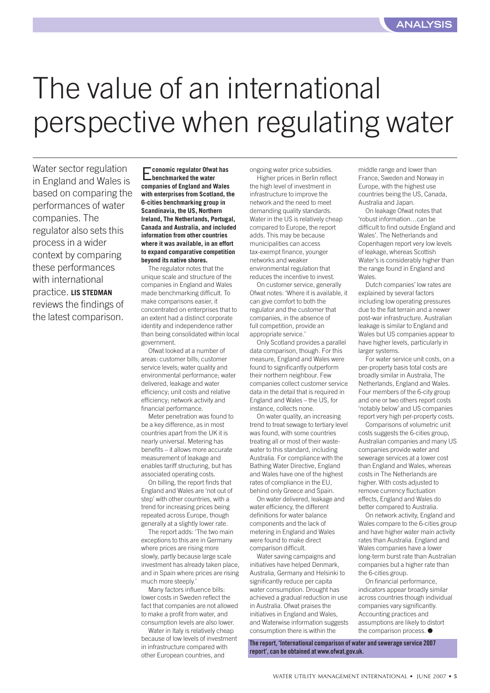# <span id="page-4-0"></span>The value of an international perspective when regulating water

Water sector regulation in England and Wales is based on comparing the performances of water companies. The regulator also sets this process in a wider context by comparing these performances with international practice. **LIS STEDMAN** reviews the findings of the latest comparison.

E**conomic regulator Ofwat has benchmarked the water companies of England and Wales with enterprises from Scotland, the 6-cities benchmarking group in Scandinavia, the US, Northern Ireland, The Netherlands, Portugal, Canada and Australia, and included information from other countries where it was available, in an effort to expand comparative competition beyond its native shores.** 

The regulator notes that the unique scale and structure of the companies in England and Wales made benchmarking difficult. To make comparisons easier, it concentrated on enterprises that to an extent had a distinct corporate identity and independence rather than being consolidated within local government.

Ofwat looked at a number of areas: customer bills; customer service levels; water quality and environmental performance; water delivered, leakage and water efficiency; unit costs and relative efficiency; network activity and financial performance.

Meter penetration was found to be a key difference, as in most countries apart from the UK it is nearly universal. Metering has benefits – it allows more accurate measurement of leakage and enables tariff structuring, but has associated operating costs.

On billing, the report finds that England and Wales are 'not out of step' with other countries, with a trend for increasing prices being repeated across Europe, though generally at a slightly lower rate.

The report adds: 'The two main exceptions to this are in Germany where prices are rising more slowly, partly because large scale investment has already taken place, and in Spain where prices are rising much more steeply.'

Many factors influence bills: lower costs in Sweden reflect the fact that companies are not allowed to make a profit from water, and consumption levels are also lower.

Water in Italy is relatively cheap because of low levels of investment in infrastructure compared with other European countries, and

ongoing water price subsidies. Higher prices in Berlin reflect the high level of investment in infrastructure to improve the network and the need to meet demanding quality standards. Water in the US is relatively cheap compared to Europe, the report adds. This may be because municipalities can access tax-exempt finance, younger networks and weaker environmental regulation that reduces the incentive to invest.

On customer service, generally Ofwat notes: 'Where it is available, it can give comfort to both the regulator and the customer that companies, in the absence of full competition, provide an appropriate service.'

Only Scotland provides a parallel data comparison, though. For this measure, England and Wales were found to significantly outperform their northern neighbour. Few companies collect customer service data in the detail that is required in England and Wales – the US, for instance, collects none.

On water quality, an increasing trend to treat sewage to tertiary level was found, with some countries treating all or most of their wastewater to this standard, including Australia. For compliance with the Bathing Water Directive, England and Wales have one of the highest rates of compliance in the EU, behind only Greece and Spain.

On water delivered, leakage and water efficiency, the different definitions for water balance components and the lack of metering in England and Wales were found to make direct comparison difficult.

Water saving campaigns and initiatives have helped Denmark, Australia, Germany and Helsinki to significantly reduce per capita water consumption. Drought has achieved a gradual reduction in use in Australia. Ofwat praises the initiatives in England and Wales, and Waterwise information suggests consumption there is within the

**The report, 'International comparison of water and sewerage service 2007 report', can be obtained at www.ofwat.gov.uk.**

middle range and lower than France, Sweden and Norway in Europe, with the highest use countries being the US, Canada, Australia and Japan.

On leakage Ofwat notes that 'robust information…can be difficult to find outside England and Wales'. The Netherlands and Copenhagen report very low levels of leakage, whereas Scottish Water's is considerably higher than the range found in England and Wales.

Dutch companies' low rates are explained by several factors including low operating pressures due to the flat terrain and a newer post-war infrastructure. Australian leakage is similar to England and Wales but US companies appear to have higher levels, particularly in larger systems.

For water service unit costs, on a per-property basis total costs are broadly similar in Australia, The Netherlands, England and Wales. Four members of the 6-city group and one or two others report costs 'notably below' and US companies report very high per-property costs.

Comparisons of volumetric unit costs suggests the 6-cities group, Australian companies and many US companies provide water and sewerage services at a lower cost than England and Wales, whereas costs in The Netherlands are higher. With costs adjusted to remove currency fluctuation effects, England and Wales do better compared to Australia.

On network activity, England and Wales compare to the 6-cities group and have higher water main activity rates than Australia. England and Wales companies have a lower long-term burst rate than Australian companies but a higher rate than the 6-cities group.

On financial performance, indicators appear broadly similar across countries though individual companies vary significantly. Accounting practices and assumptions are likely to distort the comparison process. ●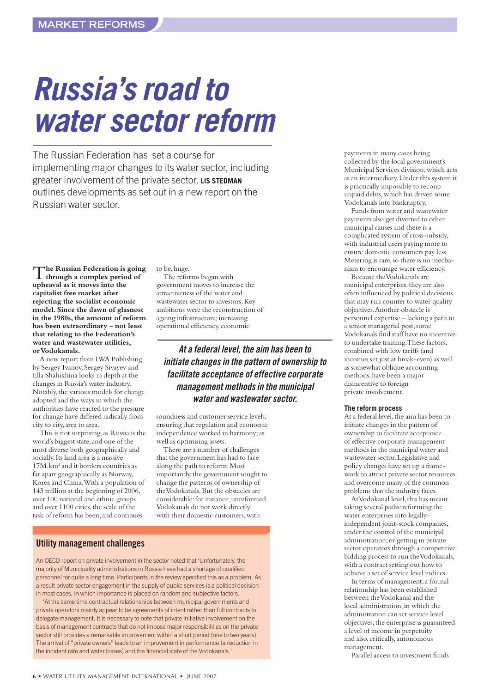# <span id="page-5-0"></span>**Russia's road to water sector reform**

The Russian Federation has set a course for implementing major changes to its water sector, including greater involvement of the private sector. **LIS STEDMAN** outlines developments as set out in a new report on the Russian water sector.

T**he Russian Federation is going through a complex period of upheaval as it moves into the capitalist free market after rejecting the socialist economic model. Since the dawn of glasnost in the 1980s, the amount of reform has been extraordinary – not least that relating to the Federation's water and wastewater utilities, or Vodokanals.**

A new report from IWA Publishing by Sergey Ivanov, Sergey Sivayev and Ella Shalukhina looks in depth at the changes in Russia's water industry. Notably, the various models for change adopted and the ways in which the authorities have reacted to the pressure for change have differed radically from city to city, area to area.

This is not surprising, as Russia is the world's biggest state, and one of the most diverse both geographically and socially. Its land area is a massive 17M.km<sup>2</sup> and it borders countries as far apart geographically as Norway, Korea and China. With a population of 143 million at the beginning of 2006, over 100 national and ethnic groups and over 1100 cities, the scale of the task of reform has been, and continues

to be, huge.

The reforms began with government moves to increase the attractiveness of the water and wastewater sector to investors. Key ambitions were the reconstruction of ageing infrastructure; increasing operational efficiency, economic

**At a federal level, the aim has been to initiate changes in the pattern of ownership to facilitate acceptance of effective corporate management methods in the municipal water and wastewater sector.**

soundness and customer service levels; ensuring that regulation and economic independence worked in harmony; as well as optimising assets.

There are a number of challenges that the government has had to face along the path to reform. Most importantly, the government sought to change the patterns of ownership of the Vodokanals, But the obstacles are considerable: for instance, unreformed Vodokanals do not work directly with their domestic customers, with

#### **Utility management challenges**

An OECD report on private involvement in the sector noted that 'Unfortunately, the majority of Municipality administrations in Russia have had a shortage of qualified personnel for quite a long time. Participants in the review specified this as a problem. As a result private sector engagement in the supply of public services is a political decision in most cases, in which importance is placed on random and subjective factors.

'At the same time contractual relationships between municipal governments and private operators mainly appear to be agreements of intent rather than full contracts to delegate management. It is necessary to note that private initiative involvement on the basis of management contracts that do not impose major responsibilities on the private sector still provides a remarkable improvement within a short period (one to two years). The arrival of "private owners" leads to an improvement in performance (a reduction in the incident rate and water losses) and the financial state of the Vodokanals.'

payments in many cases being collected by the local government's Municipal Services division, which acts as an intermediary. Under this system it is practically impossible to recoup unpaid debts, which has driven some Vodokanals into bankruptcy.

Funds from water and wastewater payments also get diverted to other municipal causes and there is a complicated system of cross-subsidy, with industrial users paying more to ensure domestic consumers pay less. Metering is rare, so there is no mechanism to encourage water efficiency.

Because the Vodokanals are municipal enterprises, they are also often influenced by political decisions that may run counter to water quality objectives. Another obstacle is personnel expertise – lacking a path to a senior managerial post, some Vodokanals find staff have no incentive to undertake training. These factors, combined with low tariffs (and incomes set just at break-even) as well as somewhat oblique accounting methods, have been a major disincentive to foreign private involvement.

#### **The reform process**

At a federal level, the aim has been to initiate changes in the pattern of ownership to facilitate acceptance of effective corporate management methods in the municipal water and wastewater sector. Legislative and policy changes have set up a framework to attract private sector resources and overcome many of the common problems that the industry faces.

At Vodokanal level, this has meant taking several paths: reforming the water enterprises into legallyindependent joint-stock companies, under the control of the municipal administration; or getting in private sector operators through a competitive bidding process to run the Vodokanals, with a contract setting out how to achieve a set of service level indices.

In terms of management, a formal relationship has been established between the Vodokanal and the local administration, in which the administration can set service level objectives, the enterprise is guaranteed a level of income in perpetuity and also, critically, autonomous management.

Parallel access to investment funds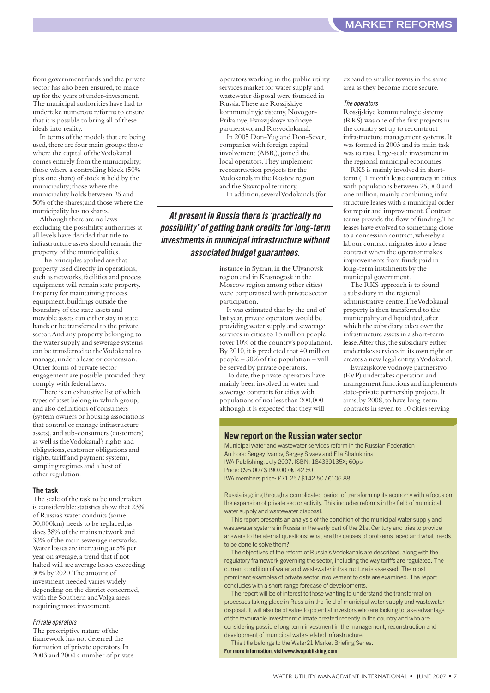from government funds and the private sector has also been ensured, to make up for the years of under-investment. The municipal authorities have had to undertake numerous reforms to ensure that it is possible to bring all of these ideals into reality.

In terms of the models that are being used, there are four main groups: those where the capital of the Vodokanal comes entirely from the municipality; those where a controlling block (50% plus one share) of stock is held by the municipality; those where the municipality holds between 25 and 50% of the shares; and those where the municipality has no shares.

Although there are no laws excluding the possibility, authorities at all levels have decided that title to infrastructure assets should remain the property of the municipalities.

The principles applied are that property used directly in operations, such as networks, facilities and process equipment will remain state property. Property for maintaining process equipment, buildings outside the boundary of the state assets and movable assets can either stay in state hands or be transferred to the private sector. And any property belonging to the water supply and sewerage systems can be transferred to the Vodokanal to manage, under a lease or concession. Other forms of private sector engagement are possible, provided they comply with federal laws.

There is an exhaustive list of which types of asset belong in which group, and also definitions of consumers (system owners or housing associations that control or manage infrastructure assets), and sub-consumers (customers) as well as the Vodokanal's rights and obligations, customer obligations and rights, tariff and payment systems, sampling regimes and a host of other regulation.

#### **The task**

The scale of the task to be undertaken is considerable: statistics show that 23% of Russia's water conduits (some 30,000km) needs to be replaced, as does 38% of the mains network and 33% of the main sewerage networks. Water losses are increasing at 5% per year on average, a trend that if not halted will see average losses exceeding 30% by 2020. The amount of investment needed varies widely depending on the district concerned, with the Southern and Volga areas requiring most investment.

#### Private operators

The prescriptive nature of the framework has not deterred the formation of private operators. In 2003 and 2004 a number of private operators working in the public utility services market for water supply and wastewater disposal were founded in Russia. These are Rossijskiye kommunalnyje sistemy, Novogor-Prikamye, Evrazijskoye vodnoye partnerstvo, and Rosvodokanal.

In 2005 Don-Yug and Don-Sever, companies with foreign capital involvement (ABB,), joined the local operators. They implement reconstruction projects for the Vodokanals in the Rostov region and the Stavropol territory.

In addition, several Vodokanals (for

**At present in Russia there is 'practically no possibility' of getting bank credits for long-term investments in municipal infrastructure without associated budget guarantees.**

> instance in Syzran, in the Ulyanovsk region and in Krasnogosk in the Moscow region among other cities) were corporatised with private sector participation.

It was estimated that by the end of last year, private operators would be providing water supply and sewerage services in cities to 15 million people (over 10% of the country's population). By 2010, it is predicted that 40 million people – 30% of the population – will be served by private operators.

To date, the private operators have mainly been involved in water and sewerage contracts for cities with populations of not less than 200,000 although it is expected that they will

expand to smaller towns in the same area as they become more secure.

#### The operators

Rossijskiye kommunalnyje sistemy (RKS) was one of the first projects in the country set up to reconstruct infrastructure management systems. It was formed in 2003 and its main task was to raise large-scale investment in the regional municipal economies.

RKS is mainly involved in shortterm (11 month lease contracts in cities with populations between 25,000 and one million, mainly combining infrastructure leases with a municipal order for repair and improvement. Contract terms provide the flow of funding. The leases have evolved to something close to a concession contract, whereby a labour contract migrates into a lease contract when the operator makes improvements from funds paid in long-term instalments by the municipal government.

The RKS approach is to found a subsidiary in the regional administrative centre. The Vodokanal property is then transferred to the municipality and liquidated, after which the subsidiary takes over the infrastructure assets in a short-term lease. After this, the subsidiary either undertakes services in its own right or creates a new legal entity, a Vodokanal.

Evrazijskoye vodnoye partnerstvo (EVP) undertakes operation and management functions and implements state-private partnership projects. It aims, by 2008, to have long-term contracts in seven to 10 cities serving

#### **New report on the Russian water sector**

Municipal water and wastewater services reform in the Russian Federation Authors: Sergey Ivanov, Sergey Sivaev and Ella Shalukhina IWA Publishing, July 2007. ISBN: 184339135X; 60pp Price: £95.00 / \$190.00 / €142.50 IWA members price: £71.25 / \$142.50 / €106.88

Russia is going through a complicated period of transforming its economy with a focus on the expansion of private sector activity. This includes reforms in the field of municipal water supply and wastewater disposal.

This report presents an analysis of the condition of the municipal water supply and wastewater systems in Russia in the early part of the 21st Century and tries to provide answers to the eternal questions: what are the causes of problems faced and what needs to be done to solve them?

The objectives of the reform of Russia's Vodokanals are described, along with the regulatory framework governing the sector, including the way tariffs are regulated. The current condition of water and wastewater infrastructure is assessed. The most prominent examples of private sector involvement to date are examined. The report concludes with a short-range forecase of developments.

The report will be of interest to those wanting to understand the transformation processes taking place in Russia in the field of municipal water supply and wastewater disposal. It will also be of value to potential investors who are looking to take advantage of the favourable investment climate created recently in the country and who are considering possible long-term investment in the management, reconstruction and development of municipal water-related infrastructure.

This title belongs to the Water21 Market Briefing Series. **For more information, visit www.iwapublishing.com**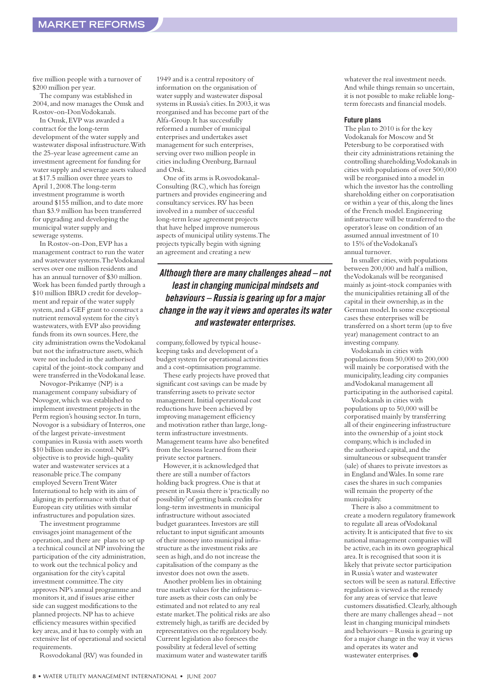five million people with a turnover of \$200 million per year.

The company was established in 2004, and now manages the Omsk and Rostov-on-Don Vodokanals.

In Omsk, EVP was awarded a contract for the long-term development of the water supply and wastewater disposal infrastructure. With the 25-year lease agreement came an investment agreement for funding for water supply and sewerage assets valued at \$17.5 million over three years to April 1, 2008. The long-term investment programme is worth around \$155 million, and to date more than \$3.9 million has been transferred for upgrading and developing the municipal water supply and sewerage systems.

In Rostov-on-Don, EVP has a management contract to run the water and wastewater systems. The Vodokanal serves over one million residents and has an annual turnover of \$30 million. Work has been funded partly through a \$10 million IBRD credit for development and repair of the water supply system, and a GEF grant to construct a nutrient removal system for the city's wastewaters, with EVP also providing funds from its own sources. Here, the city administration owns the Vodokanal but not the infrastructure assets, which were not included in the authorised capital of the joint-stock company and were transferred in the Vodokanal lease.

Novogor-Prikamye (NP) is a management company subsidiary of Novogor, which was established to implement investment projects in the Perm region's housing sector. In turn, Novogor is a subsidiary of Interros, one of the largest private-investment companies in Russia with assets worth \$10 billion under its control. NP's objective is to provide high-quality water and wastewater services at a reasonable price. The company employed Severn Trent Water International to help with its aim of aligning its performance with that of European city utilities with similar infrastructures and population sizes.

The investment programme envisages joint management of the operation, and there are plans to set up a technical council at NP involving the participation of the city administration, to work out the technical policy and organisation for the city's capital investment committee. The city approves NP's annual programme and monitors it, and if issues arise either side can suggest modifications to the planned projects. NP has to achieve efficiency measures within specified key areas, and it has to comply with an extensive list of operational and societal requirements.

Rosvodokanal (RV) was founded in

1949 and is a central repository of information on the organisation of water supply and wastewater disposal systems in Russia's cities. In 2003, it was reorganised and has become part of the Alfa-Group. It has successfully reformed a number of municipal enterprises and undertakes asset management for such enterprises, serving over two million people in cities including Orenburg, Barnaul and Orsk.

One of its arms is Rosvodokanal-Consulting (RC), which has foreign partners and provides engineering and consultancy services. RV has been involved in a number of successful long-term lease agreement projects that have helped improve numerous aspects of municipal utility systems. The projects typically begin with signing an agreement and creating a new

**Although there are many challenges ahead – not least in changing municipal mindsets and behaviours – Russia is gearing up for a major change in the way it views and operates its water and wastewater enterprises.**

company, followed by typical housekeeping tasks and development of a budget system for operational activities and a cost-optimisation programme.

These early projects have proved that significant cost savings can be made by transferring assets to private sector management. Initial operational cost reductions have been achieved by improving management efficiency and motivation rather than large, longterm infrastructure investments. Management teams have also benefited from the lessons learned from their private sector partners.

However, it is acknowledged that there are still a number of factors holding back progress. One is that at present in Russia there is 'practically no possibility' of getting bank credits for long-term investments in municipal infrastructure without associated budget guarantees. Investors are still reluctant to input significant amounts of their money into municipal infrastructure as the investment risks are seen as high, and do not increase the capitalisation of the company as the investor does not own the assets.

Another problem lies in obtaining true market values for the infrastructure assets as their costs can only be estimated and not related to any real estate market. The political risks are also extremely high, as tariffs are decided by representatives on the regulatory body. Current legislation also foresees the possibility at federal level of setting maximum water and wastewater tariffs

whatever the real investment needs. And while things remain so uncertain, it is not possible to make reliable longterm forecasts and financial models.

#### **Future plans**

The plan to 2010 is for the key Vodokanals for Moscow and St Petersburg to be corporatised with their city administrations retaining the controlling shareholding. Vodokanals in cities with populations of over 500,000 will be reorganised into a model in which the investor has the controlling shareholding either on corporatisation or within a year of this, along the lines of the French model. Engineering infrastructure will be transferred to the operator's lease on condition of an assumed annual investment of 10 to 15% of the Vodokanal's annual turnover.

In smaller cities, with populations between 200,000 and half a million, the Vodokanals will be reorganised mainly as joint-stock companies with the municipalities retaining all of the capital in their ownership, as in the German model. In some exceptional cases these enterprises will be transferred on a short term (up to five year) management contract to an investing company.

Vodokanals in cities with populations from 50,000 to 200,000 will mainly be corporatised with the municipality, leading city companies and Vodokanal management all participating in the authorised capital.

Vodokanals in cities with populations up to 50,000 will be corporatised mainly by transferring all of their engineering infrastructure into the ownership of a joint stock company, which is included in the authorised capital, and the simultaneous or subsequent transfer (sale) of shares to private investors as in England and Wales. In some rare cases the shares in such companies will remain the property of the municipality.

There is also a commitment to create a modern regulatory framework to regulate all areas of Vodokanal activity. It is anticipated that five to six national management companies will be active, each in its own geographical area. It is recognised that soon it is likely that private sector participation in Russia's water and wastewater sectors will be seen as natural. Effective regulation is viewed as the remedy for any areas of service that leave customers dissatisfied. Clearly, although there are many challenges ahead – not least in changing municipal mindsets and behaviours – Russia is gearing up for a major change in the way it views and operates its water and wastewater enterprises.  $\bullet$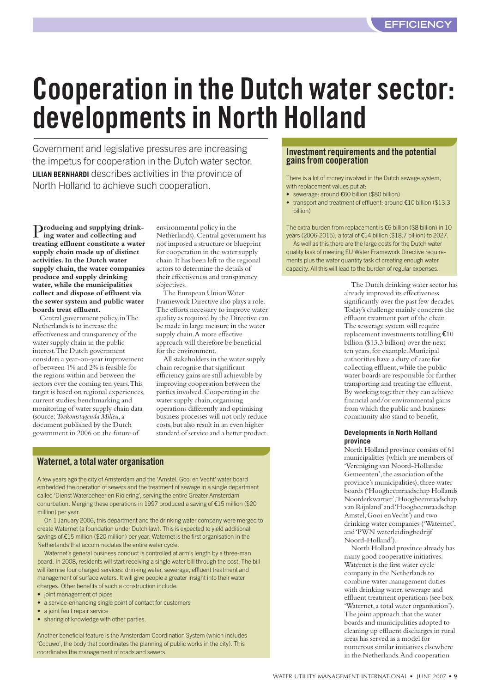# <span id="page-8-0"></span>**Cooperation in the Dutch water sector: developments in North Holland**

Government and legislative pressures are increasing the impetus for cooperation in the Dutch water sector. **LILIAN BERNHARDI** describes activities in the province of North Holland to achieve such cooperation.

P**roducing and supplying drinking water and collecting and treating effluent constitute a water supply chain made up of distinct activities. In the Dutch water supply chain, the water companies produce and supply drinking water, while the municipalities collect and dispose of effluent via the sewer system and public water boards treat effluent.**

Central government policy in The Netherlands is to increase the effectiveness and transparency of the water supply chain in the public interest. The Dutch government considers a year-on-year improvement of between 1% and 2% is feasible for the regions within and between the sectors over the coming ten years. This target is based on regional experiences, current studies, benchmarking and monitoring of water supply chain data (source: *Toekomstagenda Milieu*, a document published by the Dutch government in 2006 on the future of

environmental policy in the Netherlands). Central government has not imposed a structure or blueprint for cooperation in the water supply chain. It has been left to the regional actors to determine the details of their effectiveness and transparency objectives.

The European Union Water Framework Directive also plays a role. The efforts necessary to improve water quality as required by the Directive can be made in large measure in the water supply chain. A more effective approach will therefore be beneficial for the environment.

All stakeholders in the water supply chain recognise that significant efficiency gains are still achievable by improving cooperation between the parties involved. Cooperating in the water supply chain, organising operations differently and optimising business processes will not only reduce costs, but also result in an even higher standard of service and a better product.

#### **Waternet, a total water organisation**

A few years ago the city of Amsterdam and the 'Amstel, Gooi en Vecht' water board embedded the operation of sewers and the treatment of sewage in a single department called 'Dienst Waterbeheer en Riolering', serving the entire Greater Amsterdam conurbation. Merging these operations in 1997 produced a saving of €15 million (\$20 million) per year.

On 1 January 2006, this department and the drinking water company were merged to create Waternet (a foundation under Dutch law). This is expected to yield additional savings of €15 million (\$20 million) per year. Waternet is the first organisation in the Netherlands that accommodates the entire water cycle.

Waternet's general business conduct is controlled at arm's length by a three-man board. In 2008, residents will start receiving a single water bill through the post. The bill will itemise four charged services: drinking water, sewerage, effluent treatment and management of surface waters. It will give people a greater insight into their water charges. Other benefits of such a construction include:

- joint management of pipes
- a service-enhancing single point of contact for customers
- a joint fault repair service
- sharing of knowledge with other parties.

Another beneficial feature is the Amsterdam Coordination System (which includes 'Cocuwo', the body that coordinates the planning of public works in the city). This coordinates the management of roads and sewers.

#### **Investment requirements and the potential gains from cooperation**

There is a lot of money involved in the Dutch sewage system, with replacement values put at:

- sewerage: around €60 billion (\$80 billion)
- transport and treatment of effluent: around €10 billion (\$13.3 billion)

The extra burden from replacement is €6 billion (\$8 billion) in 10 years (2006-2015), a total of €14 billion (\$18.7 billion) to 2027.

As well as this there are the large costs for the Dutch water quality task of meeting EU Water Framework Directive requirements plus the water quantity task of creating enough water capacity. All this will lead to the burden of regular expenses.

> The Dutch drinking water sector has already improved its effectiveness significantly over the past few decades. Today's challenge mainly concerns the effluent treatment part of the chain. The sewerage system will require replacement investments totalling €<sup>10</sup> billion (\$13.3 billion) over the next ten years, for example. Municipal authorities have a duty of care for collecting effluent, while the public water boards are responsible for further transporting and treating the effluent. By working together they can achieve financial and/or environmental gains from which the public and business community also stand to benefit.

#### **Developments in North Holland province**

North Holland province consists of 61 municipalities (which are members of 'Vereniging van Noord-Hollandse Gemeenten', the association of the province's municipalities), three water boards ('Hoogheemraadschap Hollands Noorderkwartier', 'Hoogheemraadschap van Rijnland' and 'Hoogheemraadschap Amstel, Gooi en Vecht') and two drinking water companies ('Waternet', and 'PWN waterleidingbedrijf Noord-Holland').

North Holland province already has many good cooperative initiatives. Waternet is the first water cycle company in the Netherlands to combine water management duties with drinking water, sewerage and effluent treatment operations (see box 'Waternet, a total water organisation'). The joint approach that the water boards and municipalities adopted to cleaning up effluent discharges in rural areas has served as a model for numerous similar initiatives elsewhere in the Netherlands. And cooperation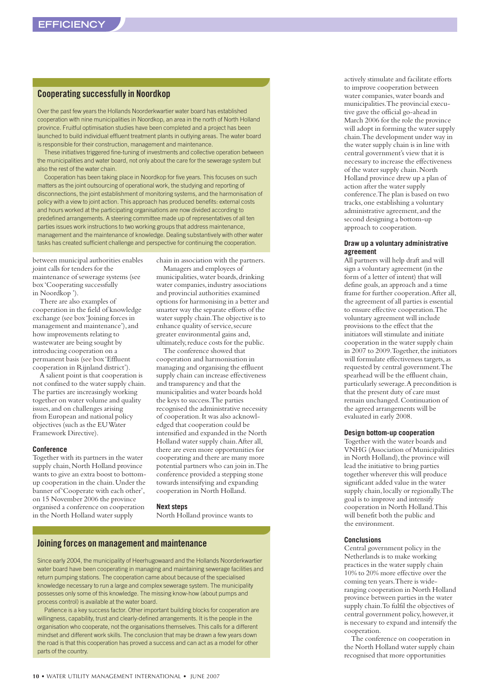#### **Cooperating successfully in Noordkop**

Over the past few years the Hollands Noorderkwartier water board has established cooperation with nine municipalities in Noordkop, an area in the north of North Holland province. Fruitful optimisation studies have been completed and a project has been launched to build individual effluent treatment plants in outlying areas. The water board is responsible for their construction, management and maintenance.

These initiatives triggered fine-tuning of investments and collective operation between the municipalities and water board, not only about the care for the sewerage system but also the rest of the water chain.

Cooperation has been taking place in Noordkop for five years. This focuses on such matters as the joint outsourcing of operational work, the studying and reporting of disconnections, the joint establishment of monitoring systems, and the harmonisation of policy with a view to joint action. This approach has produced benefits: external costs and hours worked at the participating organisations are now divided according to predefined arrangements. A steering committee made up of representatives of all ten parties issues work instructions to two working groups that address maintenance, management and the maintenance of knowledge. Dealing substantively with other water tasks has created sufficient challenge and perspective for continuing the cooperation.

between municipal authorities enables joint calls for tenders for the maintenance of sewerage systems (see box 'Cooperating successfully in Noordkop ').

There are also examples of cooperation in the field of knowledge exchange (see box 'Joining forces in management and maintenance'), and how improvements relating to wastewater are being sought by introducing cooperation on a permanent basis (see box 'Effluent cooperation in Rijnland district').

A salient point is that cooperation is not confined to the water supply chain. The parties are increasingly working together on water volume and quality issues, and on challenges arising from European and national policy objectives (such as the EU Water Framework Directive).

#### **Conference**

Together with its partners in the water supply chain, North Holland province wants to give an extra boost to bottomup cooperation in the chain. Under the banner of 'Cooperate with each other', on 15 November 2006 the province organised a conference on cooperation in the North Holland water supply

chain in association with the partners. Managers and employees of

municipalities, water boards, drinking water companies, industry associations and provincial authorities examined options for harmonising in a better and smarter way the separate efforts of the water supply chain. The objective is to enhance quality of service, secure greater environmental gains and, ultimately, reduce costs for the public.

The conference showed that cooperation and harmonisation in managing and organising the effluent supply chain can increase effectiveness and transparency and that the municipalities and water boards hold the keys to success. The parties recognised the administrative necessity of cooperation. It was also acknowledged that cooperation could be intensified and expanded in the North Holland water supply chain. After all, there are even more opportunities for cooperating and there are many more potential partners who can join in. The conference provided a stepping stone towards intensifying and expanding cooperation in North Holland.

#### **Next steps**

North Holland province wants to

#### **Joining forces on management and maintenance**

Since early 2004, the municipality of Heerhugowaard and the Hollands Noorderkwartier water board have been cooperating in managing and maintaining sewerage facilities and return pumping stations. The cooperation came about because of the specialised knowledge necessary to run a large and complex sewerage system. The municipality possesses only some of this knowledge. The missing know-how (about pumps and process control) is available at the water board.

Patience is a key success factor. Other important building blocks for cooperation are willingness, capability, trust and clearly-defined arrangements. It is the people in the organisation who cooperate, not the organisations themselves. This calls for a different mindset and different work skills. The conclusion that may be drawn a few years down the road is that this cooperation has proved a success and can act as a model for other parts of the country.

actively stimulate and facilitate efforts to improve cooperation between water companies, water boards and municipalities. The provincial executive gave the official go-ahead in March 2006 for the role the province will adopt in forming the water supply chain. The development under way in the water supply chain is in line with central government's view that it is necessary to increase the effectiveness of the water supply chain. North Holland province drew up a plan of action after the water supply conference. The plan is based on two tracks, one establishing a voluntary administrative agreement, and the second designing a bottom-up approach to cooperation.

#### **Draw up a voluntary administrative agreement**

All partners will help draft and will sign a voluntary agreement (in the form of a letter of intent) that will define goals, an approach and a time frame for further cooperation. After all, the agreement of all parties is essential to ensure effective cooperation. The voluntary agreement will include provisions to the effect that the initiators will stimulate and initiate cooperation in the water supply chain in 2007 to 2009. Together, the initiators will formulate effectiveness targets, as requested by central government. The spearhead will be the effluent chain, particularly sewerage. A precondition is that the present duty of care must remain unchanged. Continuation of the agreed arrangements will be evaluated in early 2008.

#### **Design bottom-up cooperation**

Together with the water boards and VNHG (Association of Municipalities in North Holland), the province will lead the initiative to bring parties together wherever this will produce significant added value in the water supply chain, locally or regionally. The goal is to improve and intensify cooperation in North Holland. This will benefit both the public and the environment.

#### **Conclusions**

Central government policy in the Netherlands is to make working practices in the water supply chain 10% to 20% more effective over the coming ten years. There is wideranging cooperation in North Holland province between parties in the water supply chain. To fulfil the objectives of central government policy, however, it is necessary to expand and intensify the cooperation.

The conference on cooperation in the North Holland water supply chain recognised that more opportunities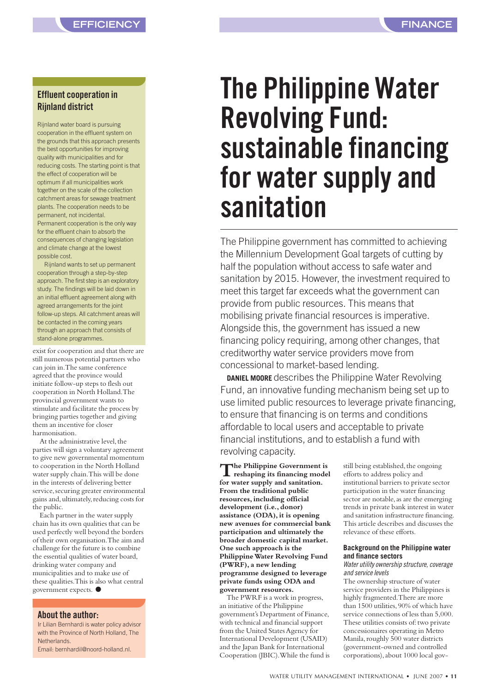#### <span id="page-10-0"></span>**Effluent cooperation in Rijnland district**

Rijnland water board is pursuing cooperation in the effluent system on the grounds that this approach presents the best opportunities for improving quality with municipalities and for reducing costs. The starting point is that the effect of cooperation will be optimum if all municipalities work together on the scale of the collection catchment areas for sewage treatment plants. The cooperation needs to be permanent, not incidental. Permanent cooperation is the only way for the effluent chain to absorb the consequences of changing legislation and climate change at the lowest possible cost.

Rijnland wants to set up permanent cooperation through a step-by-step approach. The first step is an exploratory study. The findings will be laid down in an initial effluent agreement along with agreed arrangements for the joint follow-up steps. All catchment areas will be contacted in the coming years through an approach that consists of stand-alone programmes.

exist for cooperation and that there are still numerous potential partners who can join in. The same conference agreed that the province would initiate follow-up steps to flesh out cooperation in North Holland. The provincial government wants to stimulate and facilitate the process by bringing parties together and giving them an incentive for closer harmonisation.

At the administrative level, the parties will sign a voluntary agreement to give new governmental momentum to cooperation in the North Holland water supply chain. This will be done in the interests of delivering better service, securing greater environmental gains and, ultimately, reducing costs for the public.

Each partner in the water supply chain has its own qualities that can be used perfectly well beyond the borders of their own organisation. The aim and challenge for the future is to combine the essential qualities of water board, drinking water company and municipalities and to make use of these qualities. This is also what central government expects. ●

#### **About the author:**

Ir Lilian Bernhardi is water policy advisor with the Province of North Holland, The **Netherlands** 

Email: bernhardil@noord-holland.nl.

#### **FINANCE**

# **The Philippine Water Revolving Fund: sustainable financing for water supply and sanitation**

The Philippine government has committed to achieving the Millennium Development Goal targets of cutting by half the population without access to safe water and sanitation by 2015. However, the investment required to meet this target far exceeds what the government can provide from public resources. This means that mobilising private financial resources is imperative. Alongside this, the government has issued a new financing policy requiring, among other changes, that creditworthy water service providers move from concessional to market-based lending.

**DANIEL MOORE** describes the Philippine Water Revolving Fund, an innovative funding mechanism being set up to use limited public resources to leverage private financing, to ensure that financing is on terms and conditions affordable to local users and acceptable to private financial institutions, and to establish a fund with revolving capacity.

**The Philippine Government is reshaping its financing model for water supply and sanitation. From the traditional public resources, including official development (i.e., donor) assistance (ODA), it is opening new avenues for commercial bank participation and ultimately the broader domestic capital market. One such approach is the Philippine Water Revolving Fund (PWRF), a new lending programme designed to leverage private funds using ODA and government resources.**

The PWRF is a work in progress, an initiative of the Philippine government's Department of Finance, with technical and financial support from the United States Agency for International Development (USAID) and the Japan Bank for International Cooperation (JBIC). While the fund is still being established, the ongoing efforts to address policy and institutional barriers to private sector participation in the water financing sector are notable, as are the emerging trends in private bank interest in water and sanitation infrastructure financing. This article describes and discusses the relevance of these efforts.

#### **Background on the Philippine water and finance sectors**

Water utility ownership structure, coverage and service levels

The ownership structure of water service providers in the Philippines is highly fragmented. There are more than 1500 utilities, 90% of which have service connections of less than 5,000. These utilities consists of: two private concessionaires operating in Metro Manila, roughly 500 water districts (government-owned and controlled corporations), about 1000 local gov-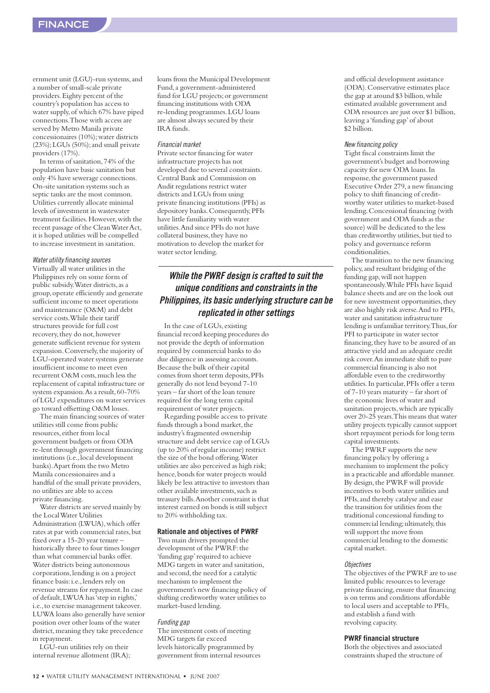ernment unit (LGU)-run systems, and a number of small-scale private providers. Eighty percent of the country's population has access to water supply, of which 67% have piped connections. Those with access are served by Metro Manila private concessionaires (10%); water districts (23%); LGUs (50%); and small private providers (17%).

In terms of sanitation, 74% of the population have basic sanitation but only 4% have sewerage connections. On-site sanitation systems such as septic tanks are the most common. Utilities currently allocate minimal levels of investment in wastewater treatment facilities. However, with the recent passage of the Clean Water Act, it is hoped utilities will be compelled to increase investment in sanitation.

#### Water utility financing sources

Virtually all water utilities in the Philippines rely on some form of public subsidy. Water districts, as a group, operate efficiently and generate sufficient income to meet operations and maintenance (O&M) and debt service costs. While their tariff structures provide for full cost recovery, they do not, however generate sufficient revenue for system expansion. Conversely, the majority of LGU-operated water systems generate insufficient income to meet even recurrent O&M costs, much less the replacement of capital infrastructure or system expansion. As a result, 60-70% of LGU expenditures on water services go toward offsetting O&M losses.

The main financing sources of water utilities still come from public resources, either from local government budgets or from ODA re-lent through government financing institutions (i.e., local development banks). Apart from the two Metro Manila concessionaires and a handful of the small private providers, no utilities are able to access private financing.

Water districts are served mainly by the Local Water Utilities Administration (LWUA), which offer rates at par with commercial rates, but fixed over a 15-20 year tenure historically three to four times longer than what commercial banks offer. Water districts being autonomous corporations, lending is on a project finance basis: i.e., lenders rely on revenue streams for repayment. In case of default, LWUA has 'step in rights,' i.e., to exercise management takeover. LUWA loans also generally have senior position over other loans of the water district, meaning they take precedence in repayment.

LGU-run utilities rely on their internal revenue allotment (IRA); loans from the Municipal Development Fund, a government-administered fund for LGU projects; or government financing institutions with ODA re-lending programmes. LGU loans are almost always secured by their IRA funds.

#### Financial market

Private sector financing for water infrastructure projects has not developed due to several constraints. Central Bank and Commission on Audit regulations restrict water districts and LGUs from using private financing institutions (PFIs) as depository banks. Consequently, PFIs have little familiarity with water utilities. And since PFIs do not have collateral business, they have no motivation to develop the market for water sector lending.

#### **While the PWRF design is crafted to suit the unique conditions and constraints in the Philippines, its basic underlying structure can be replicated in other settings**

In the case of LGUs, existing financial record keeping procedures do not provide the depth of information required by commercial banks to do due diligence in assessing accounts. Because the bulk of their capital comes from short term deposits, PFIs generally do not lend beyond 7-10 years – far short of the loan tenure required for the long term capital requirement of water projects.

Regarding possible access to private funds through a bond market, the industry's fragmented ownership structure and debt service cap of LGUs (up to 20% of regular income) restrict the size of the bond offering. Water utilities are also perceived as high risk; hence, bonds for water projects would likely be less attractive to investors than other available investments, such as treasury bills. Another constraint is that interest earned on bonds is still subject to 20% withholding tax.

#### **Rationale and objectives of PWRF**

Two main drivers prompted the development of the PWRF: the 'funding gap' required to achieve MDG targets in water and sanitation, and second, the need for a catalytic mechanism to implement the government's new financing policy of shifting creditworthy water utilities to market-based lending.

#### Funding gap

The investment costs of meeting MDG targets far exceed levels historically programmed by government from internal resources

and official development assistance (ODA). Conservative estimates place the gap at around \$3 billion, while estimated available government and ODA resources are just over \$1 billion, leaving a 'funding gap' of about \$2 billion.

#### New financing policy

Tight fiscal constraints limit the government's budget and borrowing capacity for new ODA loans. In response, the government passed Executive Order 279, a new financing policy to shift financing of creditworthy water utilities to market-based lending. Concessional financing (with government and ODA funds as the source) will be dedicated to the less than creditworthy utilities, but tied to policy and governance reform conditionalities.

The transition to the new financing policy, and resultant bridging of the funding gap, will not happen spontaneously. While PFIs have liquid balance sheets and are on the look out for new investment opportunities, they are also highly risk averse. And to PFIs, water and sanitation infrastructure lending is unfamiliar territory. Thus, for PFI to participate in water sector financing, they have to be assured of an attractive yield and an adequate credit risk cover. An immediate shift to pure commercial financing is also not affordable even to the creditworthy utilities. In particular, PFIs offer a term of 7-10 years maturity – far short of the economic lives of water and sanitation projects, which are typically over 20-25 years. This means that water utility projects typically cannot support short repayment periods for long term capital investments.

The PWRF supports the new financing policy by offering a mechanism to implement the policy in a practicable and affordable manner. By design, the PWRF will provide incentives to both water utilities and PFIs, and thereby catalyse and ease the transition for utilities from the traditional concessional funding to commercial lending; ultimately, this will support the move from commercial lending to the domestic capital market.

#### **Objectives**

The objectives of the PWRF are to use limited public resources to leverage private financing, ensure that financing is on terms and conditions affordable to local users and acceptable to PFIs, and establish a fund with revolving capacity.

#### **PWRF financial structure**

Both the objectives and associated constraints shaped the structure of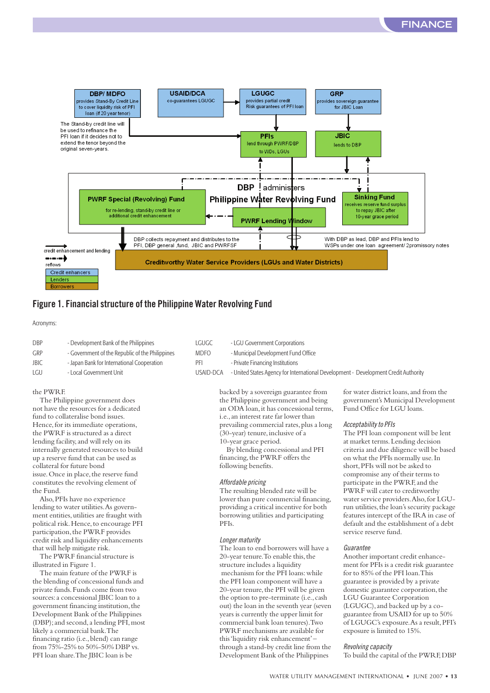

#### **Figure 1. Financial structure of the Philippine Water Revolving Fund**

Acronyms:

- DBP Development Bank of the Philippines LGUGC LGU Government Corporations GRP - Government of the Republic of the Philippines MDFO - Municipal Development Fund Office JBIC - Japan Bank for International Cooperation PFI - Private Financing Institutions
- 

#### the PWRF.

The Philippine government does not have the resources for a dedicated fund to collateralise bond issues. Hence, for its immediate operations, the PWRF is structured as a direct lending facility, and will rely on its internally generated resources to build up a reserve fund that can be used as collateral for future bond issue. Once in place, the reserve fund constitutes the revolving element of the Fund.

Also, PFIs have no experience lending to water utilities. As government entities, utilities are fraught with political risk. Hence, to encourage PFI participation, the PWRF provides credit risk and liquidity enhancements that will help mitigate risk.

The PWRF financial structure is illustrated in Figure 1.

The main feature of the PWRF is the blending of concessional funds and private funds. Funds come from two sources: a concessional JBIC loan to a government financing institution, the Development Bank of the Philippines (DBP); and second, a lending PFI, most likely a commercial bank. The financing ratio (i.e., blend) can range from 75%-25% to 50%-50% DBP vs. PFI loan share. The JBIC loan is be

- -
	-

LGU - Local Government Unit USAID-DCA - United States Agency for International Development - Development Credit Authority

backed by a sovereign guarantee from the Philippine government and being an ODA loan, it has concessional terms, i.e., an interest rate far lower than prevailing commercial rates, plus a long (30-year) tenure, inclusive of a 10-year grace period.

By blending concessional and PFI financing, the PWRF offers the following benefits.

#### Affordable pricing

The resulting blended rate will be lower than pure commercial financing, providing a critical incentive for both borrowing utilities and participating PFIs.

#### Longer maturity

The loan to end borrowers will have a 20-year tenure. To enable this, the structure includes a liquidity mechanism for the PFI loans: while the PFI loan component will have a 20-year tenure, the PFI will be given the option to pre-terminate (i.e., cash out) the loan in the seventh year (seven years is currently the upper limit for commercial bank loan tenures). Two PWRF mechanisms are available for this 'liquidity risk enhancement' – through a stand-by credit line from the Development Bank of the Philippines

for water district loans, and from the government's Municipal Development Fund Office for LGU loans.

#### Acceptability to PFIs

The PFI loan component will be lent at market terms. Lending decision criteria and due diligence will be based on what the PFIs normally use. In short, PFIs will not be asked to compromise any of their terms to participate in the PWRF, and the PWRF will cater to creditworthy water service providers. Also, for LGUrun utilities, the loan's security package features intercept of the IRA in case of default and the establishment of a debt service reserve fund.

#### Guarantee

Another important credit enhancement for PFIs is a credit risk guarantee for to 85% of the PFI loan. This guarantee is provided by a private domestic guarantee corporation, the LGU Guarantee Corporation (LGUGC), and backed up by a coguarantee from USAID for up to 50% of LGUGC's exposure. As a result, PFI's exposure is limited to 15%.

#### Revolving capacity

To build the capital of the PWRF, DBP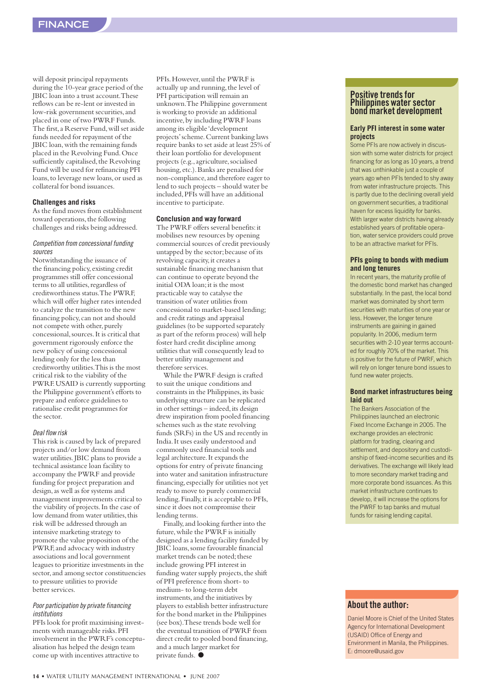will deposit principal repayments during the 10-year grace period of the JBIC loan into a trust account. These reflows can be re-lent or invested in low-risk government securities, and placed in one of two PWRF Funds. The first, a Reserve Fund, will set aside funds needed for repayment of the JBIC loan, with the remaining funds placed in the Revolving Fund. Once sufficiently capitalised, the Revolving Fund will be used for refinancing PFI loans, to leverage new loans, or used as collateral for bond issuances.

#### **Challenges and risks**

As the fund moves from establishment toward operations, the following challenges and risks being addressed.

#### Competition from concessional funding sources

Notwithstanding the issuance of the financing policy, existing credit programmes still offer concessional terms to all utilities, regardless of creditworthiness status. The PWRF, which will offer higher rates intended to catalyze the transition to the new financing policy, can not and should not compete with other, purely concessional, sources. It is critical that government rigorously enforce the new policy of using concessional lending only for the less than creditworthy utilities. This is the most critical risk to the viability of the PWRF. USAID is currently supporting the Philippine government's efforts to prepare and enforce guidelines to rationalise credit programmes for the sector.

#### Deal flow risk

This risk is caused by lack of prepared projects and/or low demand from water utilities. JBIC plans to provide a technical assistance loan facility to accompany the PWRF and provide funding for project preparation and design, as well as for systems and management improvements critical to the viability of projects. In the case of low demand from water utilities, this risk will be addressed through an intensive marketing strategy to promote the value proposition of the PWRF, and advocacy with industry associations and local government leagues to prioritize investments in the sector, and among sector constituencies to pressure utilities to provide better services.

#### Poor participation by private financing institutions

PFIs look for profit maximising investments with manageable risks. PFI involvement in the PWRF's conceptualisation has helped the design team come up with incentives attractive to

PFIs. However, until the PWRF is actually up and running, the level of PFI participation will remain an unknown. The Philippine government is working to provide an additional incentive, by including PWRF loans among its eligible 'development projects' scheme. Current banking laws require banks to set aside at least 25% of their loan portfolio for development projects (e.g., agriculture, socialised housing, etc.). Banks are penalised for non-compliance, and therefore eager to lend to such projects – should water be included, PFIs will have an additional incentive to participate.

#### **Conclusion and way forward**

The PWRF offers several benefits: it mobilises new resources by opening commercial sources of credit previously untapped by the sector; because of its revolving capacity, it creates a sustainable financing mechanism that can continue to operate beyond the initial ODA loan; it is the most practicable way to catalyse the transition of water utilities from concessional to market-based lending; and credit ratings and appraisal guidelines (to be supported separately as part of the reform process) will help foster hard credit discipline among utilities that will consequently lead to better utility management and therefore services.

While the PWRF design is crafted to suit the unique conditions and constraints in the Philippines, its basic underlying structure can be replicated in other settings – indeed, its design drew inspiration from pooled financing schemes such as the state revolving funds (SRFs) in the US and recently in India. It uses easily understood and commonly used financial tools and legal architecture. It expands the options for entry of private financing into water and sanitation infrastructure financing, especially for utilities not yet ready to move to purely commercial lending. Finally, it is acceptable to PFIs, since it does not compromise their lending terms.

Finally, and looking further into the future, while the PWRF is initially designed as a lending facility funded by JBIC loans, some favourable financial market trends can be noted; these include growing PFI interest in funding water supply projects, the shift of PFI preference from short- to medium- to long-term debt instruments, and the initiatives by players to establish better infrastructure for the bond market in the Philippines (see box). These trends bode well for the eventual transition of PWRF from direct credit to pooled bond financing, and a much larger market for private funds. ●

#### **Positive trends for Philippines water sector bond market development**

#### **Early PFI interest in some water projects**

Some PFIs are now actively in discussion with some water districts for project financing for as long as 10 years, a trend that was unthinkable just a couple of years ago when PFIs tended to shy away from water infrastructure projects. This is partly due to the declining overall yield on government securities, a traditional haven for excess liquidity for banks. With larger water districts having already established years of profitable operation, water service providers could prove to be an attractive market for PFIs.

#### **PFIs going to bonds with medium and long tenures**

In recent years, the maturity profile of the domestic bond market has changed substantially. In the past, the local bond market was dominated by short term securities with maturities of one year or less. However, the longer tenure instruments are gaining in gained popularity. In 2006, medium term securities with 2-10 year terms accounted for roughly 70% of the market. This is positive for the future of PWRF, which will rely on longer tenure bond issues to fund new water projects.

#### **Bond market infrastructures being laid out**

The Bankers Association of the Philippines launched an electronic Fixed Income Exchange in 2005. The exchange provides an electronic platform for trading, clearing and settlement, and depository and custodianship of fixed-income securities and its derivatives. The exchange will likely lead to more secondary market trading and more corporate bond issuances. As this market infrastructure continues to develop, it will increase the options for the PWRF to tap banks and mutual funds for raising lending capital.

#### **About the author:**

Daniel Moore is Chief of the United States Agency for International Development (USAID) Office of Energy and Environment in Manila, the Philippines. E: dmoore@usaid.gov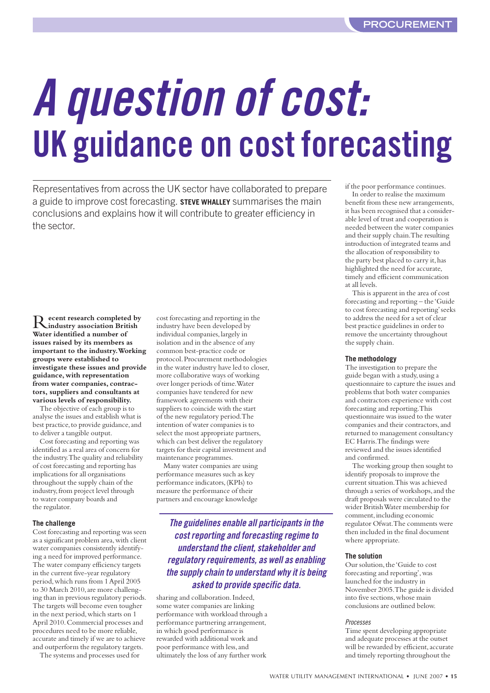# <span id="page-14-0"></span>**A question of cost: UK guidance on cost forecasting**

Representatives from across the UK sector have collaborated to prepare a guide to improve cost forecasting. **STEVE WHALLEY** summarises the main conclusions and explains how it will contribute to greater efficiency in the sector.

R**ecent research completed by industry association British Water identified a number of issues raised by its members as important to the industry. Working groups were established to investigate these issues and provide guidance, with representation from water companies, contractors, suppliers and consultants at various levels of responsibility.** 

The objective of each group is to analyse the issues and establish what is best practice, to provide guidance, and to deliver a tangible output.

Cost forecasting and reporting was identified as a real area of concern for the industry. The quality and reliability of cost forecasting and reporting has implications for all organisations throughout the supply chain of the industry, from project level through to water company boards and the regulator.

#### **The challenge**

Cost forecasting and reporting was seen as a significant problem area, with client water companies consistently identifying a need for improved performance. The water company efficiency targets in the current five-year regulatory period, which runs from 1 April 2005 to 30 March 2010, are more challenging than in previous regulatory periods. The targets will become even tougher in the next period, which starts on 1 April 2010. Commercial processes and procedures need to be more reliable, accurate and timely if we are to achieve and outperform the regulatory targets.

The systems and processes used for

cost forecasting and reporting in the industry have been developed by individual companies, largely in isolation and in the absence of any common best-practice code or protocol. Procurement methodologies in the water industry have led to closer, more collaborative ways of working over longer periods of time. Water companies have tendered for new framework agreements with their suppliers to coincide with the start of the new regulatory period. The intention of water companies is to select the most appropriate partners, which can best deliver the regulatory targets for their capital investment and maintenance programmes.

Many water companies are using performance measures such as key performance indicators, (KPIs) to measure the performance of their partners and encourage knowledge

> **The guidelines enable all participants in the cost reporting and forecasting regime to understand the client, stakeholder and regulatory requirements, as well as enabling the supply chain to understand why it is being asked to provide specific data.**

sharing and collaboration. Indeed, some water companies are linking performance with workload through a performance partnering arrangement, in which good performance is rewarded with additional work and poor performance with less, and ultimately the loss of any further work if the poor performance continues.

In order to realise the maximum benefit from these new arrangements, it has been recognised that a considerable level of trust and cooperation is needed between the water companies and their supply chain. The resulting introduction of integrated teams and the allocation of responsibility to the party best placed to carry it, has highlighted the need for accurate, timely and efficient communication at all levels.

This is apparent in the area of cost forecasting and reporting – the 'Guide to cost forecasting and reporting' seeks to address the need for a set of clear best practice guidelines in order to remove the uncertainty throughout the supply chain.

#### **The methodology**

The investigation to prepare the guide began with a study, using a questionnaire to capture the issues and problems that both water companies and contractors experience with cost forecasting and reporting. This questionnaire was issued to the water companies and their contractors, and returned to management consultancy EC Harris. The findings were reviewed and the issues identified and confirmed.

The working group then sought to identify proposals to improve the current situation. This was achieved through a series of workshops, and the draft proposals were circulated to the wider British Water membership for comment, including economic regulator Ofwat. The comments were then included in the final document where appropriate.

#### **The solution**

Our solution, the 'Guide to cost forecasting and reporting', was launched for the industry in November 2005. The guide is divided into five sections, whose main conclusions are outlined below.

#### Processes

Time spent developing appropriate and adequate processes at the outset will be rewarded by efficient, accurate and timely reporting throughout the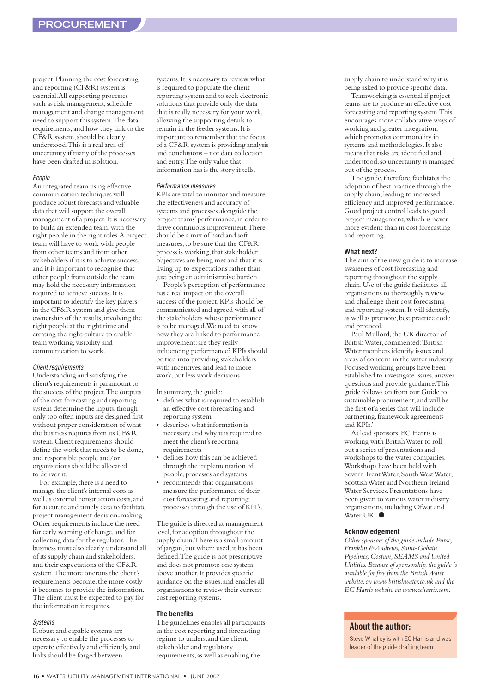project. Planning the cost forecasting and reporting (CF&R) system is essential. All supporting processes such as risk management, schedule management and change management need to support this system. The data requirements, and how they link to the CF&R system, should be clearly understood. This is a real area of uncertainty if many of the processes have been drafted in isolation.

#### People

An integrated team using effective communication techniques will produce robust forecasts and valuable data that will support the overall management of a project. It is necessary to build an extended team, with the right people in the right roles. A project team will have to work with people from other teams and from other stakeholders if it is to achieve success, and it is important to recognise that other people from outside the team may hold the necessary information required to achieve success. It is important to identify the key players in the CF&R system and give them ownership of the results, involving the right people at the right time and creating the right culture to enable team working, visibility and communication to work.

#### Client requirements

Understanding and satisfying the client's requirements is paramount to the success of the project. The outputs of the cost forecasting and reporting system determine the inputs, though only too often inputs are designed first without proper consideration of what the business requires from its CF&R system. Client requirements should define the work that needs to be done, and responsible people and/or organisations should be allocated to deliver it.

For example, there is a need to manage the client's internal costs as well as external construction costs, and for accurate and timely data to facilitate project management decision-making. Other requirements include the need for early warning of change, and for collecting data for the regulator. The business must also clearly understand all of its supply chain and stakeholders, and their expectations of the CF&R system. The more onerous the client's requirements become, the more costly it becomes to provide the information. The client must be expected to pay for the information it requires.

#### Systems

Robust and capable systems are necessary to enable the processes to operate effectively and efficiently, and links should be forged between

systems. It is necessary to review what is required to populate the client reporting system and to seek electronic solutions that provide only the data that is really necessary for your work, allowing the supporting details to remain in the feeder systems. It is important to remember that the focus of a CF&R system is providing analysis and conclusions – not data collection and entry. The only value that information has is the story it tells.

#### Performance measures

KPIs are vital to monitor and measure the effectiveness and accuracy of systems and processes alongside the project teams' performance, in order to drive continuous improvement. There should be a mix of hard and soft measures, to be sure that the CF&R process is working, that stakeholder objectives are being met and that it is living up to expectations rather than just being an administrative burden.

People's perception of performance has a real impact on the overall success of the project. KPIs should be communicated and agreed with all of the stakeholders whose performance is to be managed. We need to know how they are linked to performance improvement: are they really influencing performance? KPIs should be tied into providing stakeholders with incentives, and lead to more work, but less work decisions.

In summary, the guide:

- defines what is required to establish an effective cost forecasting and reporting system
- describes what information is necessary and why it is required to meet the client's reporting requirements
- defines how this can be achieved through the implementation of people, processes and systems
- recommends that organisations measure the performance of their cost forecasting and reporting processes through the use of KPI's.

The guide is directed at management level, for adoption throughout the supply chain. There is a small amount of jargon, but where used, it has been defined. The guide is not prescriptive and does not promote one system above another. It provides specific guidance on the issues, and enables all organisations to review their current cost reporting systems.

#### **The benefits**

The guidelines enables all participants in the cost reporting and forecasting regime to understand the client, stakeholder and regulatory requirements, as well as enabling the

supply chain to understand why it is being asked to provide specific data.

Teamworking is essential if project teams are to produce an effective cost forecasting and reporting system. This encourages more collaborative ways of working and greater integration, which promotes commonality in systems and methodologies. It also means that risks are identified and understood, so uncertainty is managed out of the process.

The guide, therefore, facilitates the adoption of best practice through the supply chain, leading to increased efficiency and improved performance. Good project control leads to good project management, which is never more evident than in cost forecasting and reporting.

#### **What next?**

The aim of the new guide is to increase awareness of cost forecasting and reporting throughout the supply chain. Use of the guide facilitates all organisations to thoroughly review and challenge their cost forecasting and reporting system. It will identify, as well as promote, best practice code and protocol.

Paul Mullord, the UK director of British Water, commented: 'British Water members identify issues and areas of concern in the water industry. Focused working groups have been established to investigate issues, answer questions and provide guidance. This guide follows on from our Guide to sustainable procurement, and will be the first of a series that will include partnering, framework agreements and KPIs.

As lead sponsors, EC Harris is working with British Water to roll out a series of presentations and workshops to the water companies. Workshops have been held with Severn Trent Water, South West Water, Scottish Water and Northern Ireland Water Services. Presentations have been given to various water industry organisations, including Ofwat and Water UK. ●

#### **Acknowledgement**

*Other sponsors of the guide include Purac, Franklin & Andrews, Saint-Gobain Pipelines, Costain, SEAMS and United Utilities. Because of sponsorship, the guide is available for free from the British Water website, on www.britishwater.co.uk and the EC Harris website on www.echarris.com.*

#### **About the author:**

Steve Whalley is with EC Harris and was leader of the guide drafting team.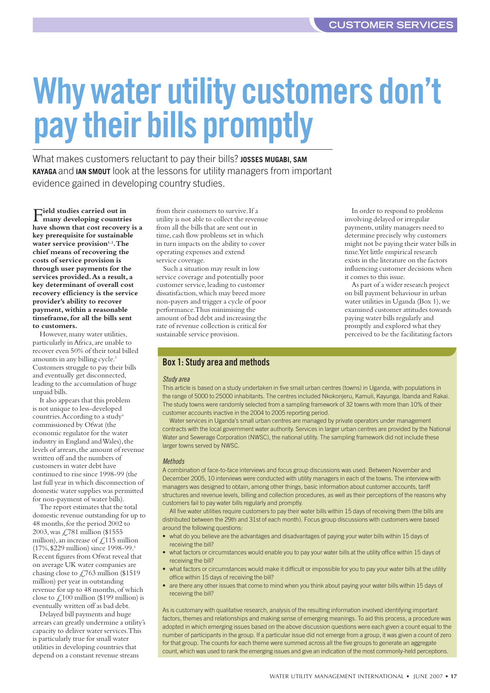In order to respond to problems involving delayed or irregular payments, utility managers need to determine precisely why customers might not be paying their water bills in time. Yet little empirical research exists in the literature on the factors influencing customer decisions when

As part of a wider research project on bill payment behaviour in urban water utilities in Uganda (Box 1), we examined customer attitudes towards paying water bills regularly and promptly and explored what they perceived to be the facilitating factors

it comes to this issue.

# <span id="page-16-0"></span>**Why water utility customers don't pay their bills promptly**

What makes customers reluctant to pay their bills? JOSSES MUGABI, SAM **KAYAGA** and **IAN SMOUT** look at the lessons for utility managers from important evidence gained in developing country studies.

**Field studies carried out in many developing countries have shown that cost recovery is a key prerequisite for sustainable** water service provision<sup>1,2</sup>. The **chief means of recovering the costs of service provision is through user payments for the services provided. As a result, a key determinant of overall cost recovery efficiency is the service provider's ability to recover payment, within a reasonable timeframe, for all the bills sent to customers.** 

However, many water utilities, particularly in Africa, are unable to recover even 50% of their total billed amounts in any billing cycle.<sup>3</sup> Customers struggle to pay their bills and eventually get disconnected, leading to the accumulation of huge unpaid bills.

It also appears that this problem is not unique to less-developed countries. According to a study<sup>4</sup> commissioned by Ofwat (the economic regulator for the water industry in England and Wales), the levels of arrears, the amount of revenue written off and the numbers of customers in water debt have continued to rise since 1998-99 (the last full year in which disconnection of domestic water supplies was permitted for non-payment of water bills).

The report estimates that the total domestic revenue outstanding for up to 48 months, for the period 2002 to 2003, was £781 million (\$1555 million), an increase of  $\angle$  115 million (17%, \$229 million) since 1998-99.4 Recent figures from Ofwat reveal that on average UK water companies are chasing close to  $\angle$  763 million (\$1519) million) per year in outstanding revenue for up to 48 months, of which close to  $\zeta$ 100 million (\$199 million) is eventually written off as bad debt.

Delayed bill payments and huge arrears can greatly undermine a utility's capacity to deliver water services. This is particularly true for small water utilities in developing countries that depend on a constant revenue stream

from their customers to survive. If a utility is not able to collect the revenue from all the bills that are sent out in time, cash flow problems set in which in turn impacts on the ability to cover operating expenses and extend service coverage.

Such a situation may result in low service coverage and potentially poor customer service, leading to customer dissatisfaction, which may breed more non-payers and trigger a cycle of poor performance. Thus minimising the amount of bad debt and increasing the rate of revenue collection is critical for sustainable service provision.

#### **Box 1: Study area and methods**

#### Study area

This article is based on a study undertaken in five small urban centres (towns) in Uganda, with populations in the range of 5000 to 25000 inhabitants. The centres included Nkokonjeru, Kamuli, Kayunga, Ibanda and Rakai. The study towns were randomly selected from a sampling framework of 32 towns with more than 10% of their customer accounts inactive in the 2004 to 2005 reporting period.

Water services in Uganda's small urban centres are managed by private operators under management contracts with the local government water authority. Services in larger urban centres are provided by the National Water and Sewerage Corporation (NWSC), the national utility. The sampling framework did not include these larger towns served by NWSC.

#### **Methods**

A combination of face-to-face interviews and focus group discussions was used. Between November and December 2005, 10 interviews were conducted with utility managers in each of the towns. The interview with managers was designed to obtain, among other things, basic information about customer accounts, tariff structures and revenue levels, billing and collection procedures, as well as their perceptions of the reasons why customers fail to pay water bills regularly and promptly.

All five water utilities require customers to pay their water bills within 15 days of receiving them (the bills are distributed between the 29th and 31st of each month). Focus group discussions with customers were based around the following questions:

- what do you believe are the advantages and disadvantages of paying your water bills within 15 days of receiving the bill?
- what factors or circumstances would enable you to pay your water bills at the utility office within 15 days of receiving the bill?
- what factors or circumstances would make it difficult or impossible for you to pay your water bills at the utility office within 15 days of receiving the bill?
- are there any other issues that come to mind when you think about paying your water bills within 15 days of receiving the bill?

As is customary with qualitative research, analysis of the resulting information involved identifying important factors, themes and relationships and making sense of emerging meanings. To aid this process, a procedure was adopted in which emerging issues based on the above discussion questions were each given a count equal to the number of participants in the group. If a particular issue did not emerge from a group, it was given a count of zero for that group. The counts for each theme were summed across all the five groups to generate an aggregate count, which was used to rank the emerging issues and give an indication of the most commonly-held perceptions.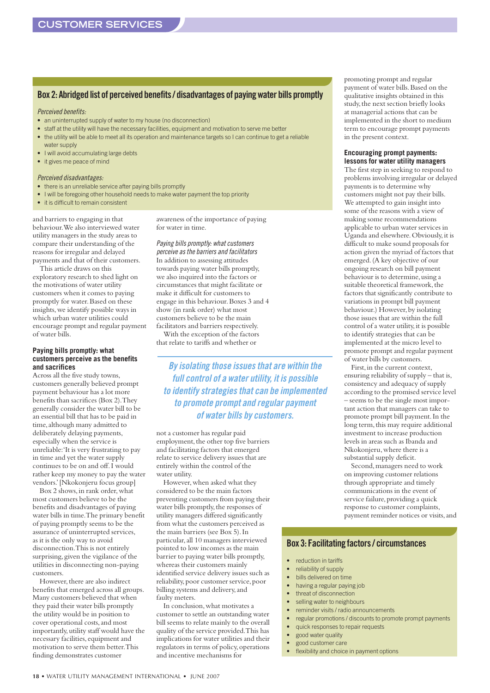#### **Box 2: Abridged list of perceived benefits / disadvantages of paying water bills promptly**

Perceived benefits:

- an uninterrupted supply of water to my house (no disconnection)
- staff at the utility will have the necessary facilities, equipment and motivation to serve me better
- the utility will be able to meet all its operation and maintenance targets so I can continue to get a reliable water supply
- I will avoid accumulating large debts
- it gives me peace of mind

#### Perceived disadvantages:

- there is an unreliable service after paying bills promptly
- I will be foregoing other household needs to make water payment the top priority
- it is difficult to remain consistent

and barriers to engaging in that behaviour. We also interviewed water utility managers in the study areas to compare their understanding of the reasons for irregular and delayed payments and that of their customers.

This article draws on this exploratory research to shed light on the motivations of water utility customers when it comes to paying promptly for water. Based on these insights, we identify possible ways in which urban water utilities could encourage prompt and regular payment of water bills.

#### **Paying bills promptly: what customers perceive as the benefits and sacrifices**

Across all the five study towns, customers generally believed prompt payment behaviour has a lot more benefits than sacrifices (Box 2). They generally consider the water bill to be an essential bill that has to be paid in time, although many admitted to deliberately delaying payments, especially when the service is unreliable: 'It is very frustrating to pay in time and yet the water supply continues to be on and off. I would rather keep my money to pay the water vendors.' [Nkokonjeru focus group]

Box 2 shows, in rank order, what most customers believe to be the benefits and disadvantages of paying water bills in time. The primary benefit of paying promptly seems to be the assurance of uninterrupted services, as it is the only way to avoid disconnection. This is not entirely surprising, given the vigilance of the utilities in disconnecting non-paying customers.

However, there are also indirect benefits that emerged across all groups. Many customers believed that when they paid their water bills promptly the utility would be in position to cover operational costs, and most importantly, utility staff would have the necessary facilities, equipment and motivation to serve them better. This finding demonstrates customer

awareness of the importance of paying for water in time.

Paying bills promptly: what customers perceive as the barriers and facilitators In addition to assessing attitudes towards paying water bills promptly, we also inquired into the factors or circumstances that might facilitate or make it difficult for customers to engage in this behaviour. Boxes 3 and 4 show (in rank order) what most customers believe to be the main facilitators and barriers respectively. With the exception of the factors

that relate to tariffs and whether or

**By isolating those issues that are within the full control of a water utility, it is possible to identify strategies that can be implemented to promote prompt and regular payment of water bills by customers.**

not a customer has regular paid employment, the other top five barriers and facilitating factors that emerged relate to service delivery issues that are entirely within the control of the water utility.

However, when asked what they considered to be the main factors preventing customers from paying their water bills promptly, the responses of utility managers differed significantly from what the customers perceived as the main barriers (see Box 5). In particular, all 10 managers interviewed pointed to low incomes as the main barrier to paying water bills promptly, whereas their customers mainly identified service delivery issues such as reliability, poor customer service, poor billing systems and delivery, and faulty meters.

In conclusion, what motivates a customer to settle an outstanding water bill seems to relate mainly to the overall quality of the service provided. This has implications for water utilities and their regulators in terms of policy, operations and incentive mechanisms for

promoting prompt and regular payment of water bills. Based on the qualitative insights obtained in this study, the next section briefly looks at managerial actions that can be implemented in the short to medium term to encourage prompt payments in the present context.

#### **Encouraging prompt payments: lessons for water utility managers**

The first step in seeking to respond to problems involving irregular or delayed payments is to determine why customers might not pay their bills. We attempted to gain insight into some of the reasons with a view of making some recommendations applicable to urban water services in Uganda and elsewhere. Obviously, it is difficult to make sound proposals for action given the myriad of factors that emerged. (A key objective of our ongoing research on bill payment behaviour is to determine, using a suitable theoretical framework, the factors that significantly contribute to variations in prompt bill payment behaviour.) However, by isolating those issues that are within the full control of a water utility, it is possible to identify strategies that can be implemented at the micro level to promote prompt and regular payment of water bills by customers.

First, in the current context, ensuring reliability of supply – that is, consistency and adequacy of supply according to the promised service level – seems to be the single most important action that managers can take to promote prompt bill payment. In the long term, this may require additional investment to increase production levels in areas such as Ibanda and Nkokonjeru, where there is a substantial supply deficit.

Second, managers need to work on improving customer relations through appropriate and timely communications in the event of service failure, providing a quick response to customer complaints, payment reminder notices or visits, and

#### **Box 3: Facilitating factors / circumstances**

- reduction in tariffs
- reliability of supply
- bills delivered on time
- having a regular paying job
- threat of disconnection
- selling water to neighbours
- reminder visits / radio announcements
- regular promotions / discounts to promote prompt payments
- quick responses to repair requests
- good water quality
- good customer care
- flexibility and choice in payment options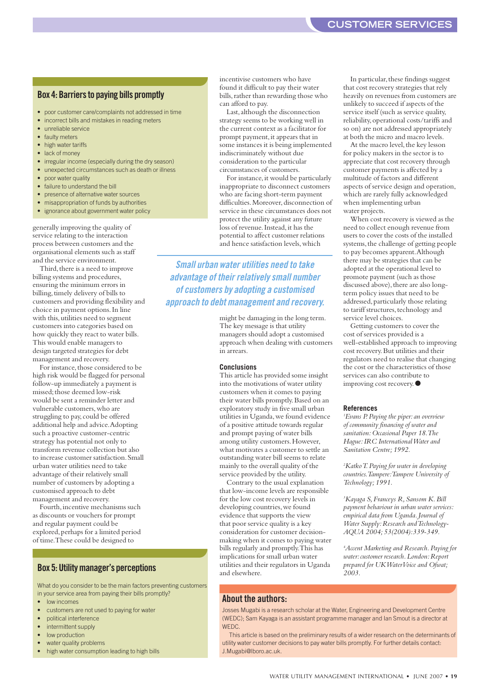#### **CUSTOMER SERVICES**

#### **Box 4: Barriers to paying bills promptly**

- poor customer care/complaints not addressed in time
- incorrect bills and mistakes in reading meters
- unreliable service
- faulty meters
- high water tariffs • lack of money
- 
- irregular income (especially during the dry season) • unexpected circumstances such as death or illness
- poor water quality
- 
- failure to understand the hill
- presence of alternative water sources
- misappropriation of funds by authorities • ignorance about government water policy
- generally improving the quality of service relating to the interaction process between customers and the organisational elements such as staff and the service environment.

Third, there is a need to improve billing systems and procedures, ensuring the minimum errors in billing, timely delivery of bills to customers and providing flexibility and choice in payment options. In line with this, utilities need to segment customers into categories based on how quickly they react to water bills. This would enable managers to design targeted strategies for debt management and recovery.

For instance, those considered to be high risk would be flagged for personal follow-up immediately a payment is missed; those deemed low-risk would be sent a reminder letter and vulnerable customers, who are struggling to pay, could be offered additional help and advice. Adopting such a proactive customer-centric strategy has potential not only to transform revenue collection but also to increase customer satisfaction. Small urban water utilities need to take advantage of their relatively small number of customers by adopting a customised approach to debt management and recovery.

Fourth, incentive mechanisms such as discounts or vouchers for prompt and regular payment could be explored, perhaps for a limited period of time. These could be designed to

#### **Box 5: Utility manager's perceptions**

What do you consider to be the main factors preventing customers in your service area from paying their bills promptly?

- low incomes
- customers are not used to paying for water
- political interference
- intermittent supply
- low production
- water quality problems
- high water consumption leading to high bills

incentivise customers who have found it difficult to pay their water bills, rather than rewarding those who can afford to pay.

Last, although the disconnection strategy seems to be working well in the current context as a facilitator for prompt payment, it appears that in some instances it is being implemented indiscriminately without due consideration to the particular circumstances of customers.

For instance, it would be particularly inappropriate to disconnect customers who are facing short-term payment difficulties. Moreover, disconnection of service in these circumstances does not protect the utility against any future loss of revenue. Instead, it has the potential to affect customer relations and hence satisfaction levels, which

**Small urban water utilities need to take advantage of their relatively small number of customers by adopting a customised approach to debt management and recovery.**

> might be damaging in the long term. The key message is that utility managers should adopt a customised approach when dealing with customers in arrears.

#### **Conclusions**

This article has provided some insight into the motivations of water utility customers when it comes to paying their water bills promptly. Based on an exploratory study in five small urban utilities in Uganda, we found evidence of a positive attitude towards regular and prompt paying of water bills among utility customers. However, what motivates a customer to settle an outstanding water bill seems to relate mainly to the overall quality of the service provided by the utility.

Contrary to the usual explanation that low-income levels are responsible for the low cost recovery levels in developing countries, we found evidence that supports the view that poor service quality is a key consideration for customer decisionmaking when it comes to paying water bills regularly and promptly. This has implications for small urban water utilities and their regulators in Uganda and elsewhere.

#### In particular, these findings suggest that cost recovery strategies that rely heavily on revenues from customers are unlikely to succeed if aspects of the service itself (such as service quality, reliability, operational costs/tariffs and so on) are not addressed appropriately at both the micro and macro levels.

At the macro level, the key lesson for policy makers in the sector is to appreciate that cost recovery through customer payments is affected by a multitude of factors and different aspects of service design and operation, which are rarely fully acknowledged when implementing urban water projects.

When cost recovery is viewed as the need to collect enough revenue from users to cover the costs of the installed systems, the challenge of getting people to pay becomes apparent. Although there may be strategies that can be adopted at the operational level to promote payment (such as those discussed above), there are also longterm policy issues that need to be addressed, particularly those relating to tariff structures, technology and service level choices.

Getting customers to cover the cost of services provided is a well-established approach to improving cost recovery. But utilities and their regulators need to realise that changing the cost or the characteristics of those services can also contribute to improving cost recovery. ●

#### **References**

*1 Evans P. Paying the piper: an overview of community financing of water and sanitation: Occasional Paper 18. The Hague: IRC International Water and Sanitation Centre; 1992.*

*2 Katko T. Paying for water in developing countries. Tampere: Tampere University of Technology; 1991.*

*3 Kayaga S, Franceys R, Sansom K. Bill payment behaviour in urban water services: empirical data from Uganda. Journal of Water Supply: Research and Technology-AQUA 2004; 53(2004):339-349.*

*4 Accent Marketing and Research. Paying for water: customer research. London: Report prepared for UK WaterVoice and Ofwat; 2003.* 

#### **About the authors:**

Josses Mugabi is a research scholar at the Water, Engineering and Development Centre (WEDC); Sam Kayaga is an assistant programme manager and Ian Smout is a director at WEDC.

This article is based on the preliminary results of a wider research on the determinants of utility water customer decisions to pay water bills promptly. For further details contact: J.Mugabi@lboro.ac.uk.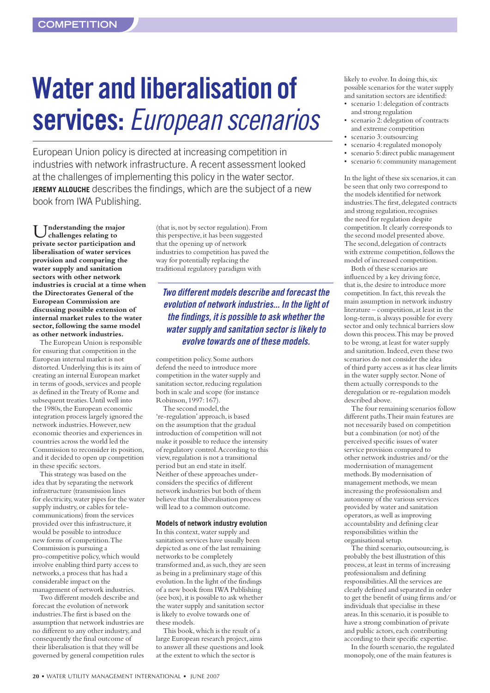# <span id="page-19-0"></span>**Water and liberalisation of services:** European scenarios

European Union policy is directed at increasing competition in industries with network infrastructure. A recent assessment looked at the challenges of implementing this policy in the water sector. **JEREMY ALLOUCHE** describes the findings, which are the subject of a new book from IWA Publishing.

Inderstanding the major **challenges relating to private sector participation and liberalisation of water services provision and comparing the water supply and sanitation sectors with other network industries is crucial at a time when the Directorates General of the European Commission are discussing possible extension of internal market rules to the water sector, following the same model as other network industries.**

The European Union is responsible for ensuring that competition in the European internal market is not distorted. Underlying this is its aim of creating an internal European market in terms of goods, services and people as defined in the Treaty of Rome and subsequent treaties. Until well into the 1980s, the European economic integration process largely ignored the network industries. However, new economic theories and experiences in countries across the world led the Commission to reconsider its position, and it decided to open up competition in these specific sectors.

This strategy was based on the idea that by separating the network infrastructure (transmission lines for electricity, water pipes for the water supply industry, or cables for telecommunications) from the services provided over this infrastructure, it would be possible to introduce new forms of competition. The Commission is pursuing a pro-competitive policy, which would involve enabling third party access to networks, a process that has had a considerable impact on the management of network industries.

Two different models describe and forecast the evolution of network industries. The first is based on the assumption that network industries are no different to any other industry, and consequently the final outcome of their liberalisation is that they will be governed by general competition rules

(that is, not by sector regulation). From this perspective, it has been suggested that the opening up of network industries to competition has paved the way for potentially replacing the traditional regulatory paradigm with

#### **Two different models describe and forecast the evolution of network industries... In the light of the findings, it is possible to ask whether the water supply and sanitation sector is likely to evolve towards one of these models.**

competition policy. Some authors defend the need to introduce more competition in the water supply and sanitation sector, reducing regulation both in scale and scope (for instance Robinson, 1997: 167).

The second model, the 're-regulation' approach, is based on the assumption that the gradual introduction of competition will not make it possible to reduce the intensity of regulatory control. According to this view, regulation is not a transitional period but an end state in itself. Neither of these approaches underconsiders the specifics of different network industries but both of them believe that the liberalisation process will lead to a common outcome.

#### **Models of network industry evolution**

In this context, water supply and sanitation services have usually been depicted as one of the last remaining networks to be completely transformed and, as such, they are seen as being in a preliminary stage of this evolution. In the light of the findings of a new book from IWA Publishing (see box), it is possible to ask whether the water supply and sanitation sector is likely to evolve towards one of these models.

This book, which is the result of a large European research project, aims to answer all these questions and look at the extent to which the sector is

likely to evolve. In doing this, six possible scenarios for the water supply and sanitation sectors are identified:

- scenario 1: delegation of contracts and strong regulation
- scenario 2: delegation of contracts and extreme competition
- scenario 3: outsourcing
- scenario 4: regulated monopoly
- scenario 5: direct public management • scenario 6: community management

In the light of these six scenarios, it can be seen that only two correspond to the models identified for network industries. The first, delegated contracts and strong regulation, recognises the need for regulation despite competition. It clearly corresponds to the second model presented above. The second, delegation of contracts with extreme competition, follows the model of increased competition.

Both of these scenarios are influenced by a key driving force, that is, the desire to introduce more competition. In fact, this reveals the main assumption in network industry literature – competition, at least in the long-term, is always possible for every sector and only technical barriers slow down this process. This may be proved to be wrong, at least for water supply and sanitation. Indeed, even these two scenarios do not consider the idea of third party access as it has clear limits in the water supply sector. None of them actually corresponds to the deregulation or re-regulation models described above.

The four remaining scenarios follow different paths. Their main features are not necessarily based on competition but a combination (or not) of the perceived specific issues of water service provision compared to other network industries and/or the modernisation of management methods. By modernisation of management methods, we mean increasing the professionalism and autonomy of the various services provided by water and sanitation operators, as well as improving accountability and defining clear responsibilities within the organisational setup.

The third scenario, outsourcing, is probably the best illustration of this process, at least in terms of increasing professionalism and defining responsibilities. All the services are clearly defined and separated in order to get the benefit of using firms and/or individuals that specialise in these areas. In this scenario, it is possible to have a strong combination of private and public actors, each contributing according to their specific expertise.

In the fourth scenario, the regulated monopoly, one of the main features is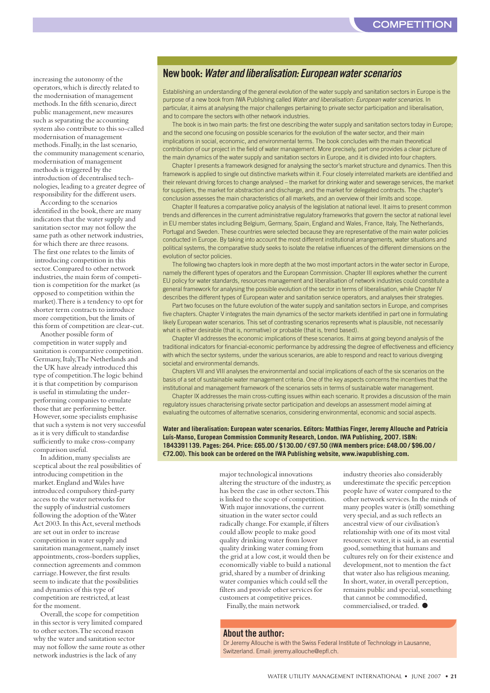increasing the autonomy of the operators, which is directly related to the modernisation of management methods. In the fifth scenario, direct public management, new measures such as separating the accounting system also contribute to this so-called modernisation of management methods. Finally, in the last scenario, the community management scenario, modernisation of management methods is triggered by the introduction of decentralised technologies, leading to a greater degree of responsibility for the different users.

According to the scenarios identified in the book, there are many indicators that the water supply and sanitation sector may not follow the same path as other network industries, for which there are three reasons. The first one relates to the limits of introducing competition in this sector. Compared to other network industries, the main form of competition is competition for the market (as opposed to competition within the market). There is a tendency to opt for shorter term contracts to introduce more competition, but the limits of this form of competition are clear-cut.

Another possible form of competition in water supply and sanitation is comparative competition. Germany, Italy, The Netherlands and the UK have already introduced this type of competition. The logic behind it is that competition by comparison is useful in stimulating the underperforming companies to emulate those that are performing better. However, some specialists emphasise that such a system is not very successful as it is very difficult to standardise sufficiently to make cross-company comparison useful.

In addition, many specialists are sceptical about the real possibilities of introducing competition in the market. England and Wales have introduced compulsory third-party access to the water networks for the supply of industrial customers following the adoption of the Water Act 2003. In this Act, several methods are set out in order to increase competition in water supply and sanitation management, namely inset appointments, cross-borders supplies, connection agreements and common carriage. However, the first results seem to indicate that the possibilities and dynamics of this type of competition are restricted, at least for the moment.

Overall, the scope for competition in this sector is very limited compared to other sectors. The second reason why the water and sanitation sector may not follow the same route as other network industries is the lack of any

#### **New book: Water and liberalisation: European water scenarios**

Establishing an understanding of the general evolution of the water supply and sanitation sectors in Europe is the purpose of a new book from IWA Publishing called Water and liberalisation: European water scenarios. In particular, it aims at analysing the major challenges pertaining to private sector participation and liberalisation, and to compare the sectors with other network industries.

The book is in two main parts: the first one describing the water supply and sanitation sectors today in Europe; and the second one focusing on possible scenarios for the evolution of the water sector, and their main implications in social, economic, and environmental terms. The book concludes with the main theoretical contribution of our project in the field of water management. More precisely, part one provides a clear picture of the main dynamics of the water supply and sanitation sectors in Europe, and it is divided into four chapters.

Chapter I presents a framework designed for analysing the sector's market structure and dynamics. Then this framework is applied to single out distinctive markets within it. Four closely interrelated markets are identified and their relevant driving forces to change analysed – the market for drinking water and sewerage services, the market for suppliers, the market for abstraction and discharge, and the market for delegated contracts. The chapter's conclusion assesses the main characteristics of all markets, and an overview of their limits and scope.

Chapter II features a comparative policy analysis of the legislation at national level. It aims to present common trends and differences in the current administrative regulatory frameworks that govern the sector at national level in EU member states including Belgium, Germany, Spain, England and Wales, France, Italy, The Netherlands, Portugal and Sweden. These countries were selected because they are representative of the main water policies conducted in Europe. By taking into account the most different institutional arrangements, water situations and political systems, the comparative study seeks to isolate the relative influences of the different dimensions on the evolution of sector policies.

The following two chapters look in more depth at the two most important actors in the water sector in Europe, namely the different types of operators and the European Commission. Chapter III explores whether the current EU policy for water standards, resources management and liberalisation of network industries could constitute a general framework for analysing the possible evolution of the sector in terms of liberalisation, while Chapter IV describes the different types of European water and sanitation service operators, and analyses their strategies.

Part two focuses on the future evolution of the water supply and sanitation sectors in Europe, and comprises five chapters. Chapter V integrates the main dynamics of the sector markets identified in part one in formulating likely European water scenarios. This set of contrasting scenarios represents what is plausible, not necessarily what is either desirable (that is, normative) or probable (that is, trend based).

Chapter VI addresses the economic implications of these scenarios. It aims at going beyond analysis of the traditional indicators for financial-economic performance by addressing the degree of effectiveness and efficiency with which the sector systems, under the various scenarios, are able to respond and react to various diverging societal and environmental demands.

Chapters VII and VIII analyses the environmental and social implications of each of the six scenarios on the basis of a set of sustainable water management criteria. One of the key aspects concerns the incentives that the institutional and management framework of the scenarios sets in terms of sustainable water management.

Chapter IX addresses the main cross-cutting issues within each scenario. It provides a discussion of the main regulatory issues characterising private sector participation and develops an assessment model aiming at evaluating the outcomes of alternative scenarios, considering environmental, economic and social aspects.

**Water and liberalisation: European water scenarios. Editors: Matthias Finger, Jeremy Allouche and Patrícia Luís-Manso, European Commission Community Research, London. IWA Publishing, 2007. ISBN: 1843391139. Pages: 264. Price: £65.00 / \$130.00 /** €**97.50 (IWA members price: £48.00 / \$96.00 /** €**72.00). This book can be ordered on the IWA Publishing website, www.iwapublishing.com.**

> major technological innovations altering the structure of the industry, as has been the case in other sectors. This is linked to the scope of competition. With major innovations, the current situation in the water sector could radically change. For example, if filters could allow people to make good quality drinking water from lower quality drinking water coming from the grid at a low cost, it would then be economically viable to build a national grid, shared by a number of drinking water companies which could sell the filters and provide other services for customers at competitive prices. Finally, the main network

industry theories also considerably underestimate the specific perception people have of water compared to the other network services. In the minds of many peoples water is (still) something very special, and as such reflects an ancestral view of our civilisation's relationship with one of its most vital resources: water, it is said, is an essential good, something that humans and cultures rely on for their existence and development, not to mention the fact that water also has religious meaning. In short, water, in overall perception, remains public and special, something that cannot be commodified, commercialised, or traded.  $\bullet$ 

#### **About the author:**

Dr Jeremy Allouche is with the Swiss Federal Institute of Technology in Lausanne, Switzerland. Email: jeremy.allouche@epfl.ch.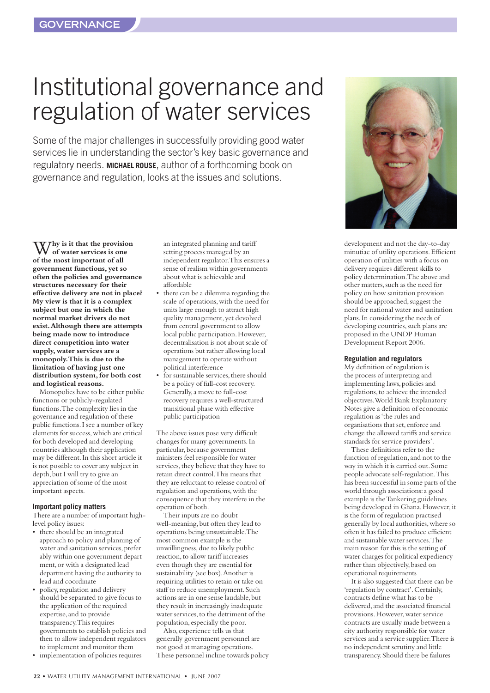## <span id="page-21-0"></span>Institutional governance and regulation of water services

Some of the major challenges in successfully providing good water services lie in understanding the sector's key basic governance and regulatory needs. **MICHAEL ROUSE**, author of a forthcoming book on governance and regulation, looks at the issues and solutions.

W**hy is it that the provision of water services is one of the most important of all government functions, yet so often the policies and governance structures necessary for their effective delivery are not in place? My view is that it is a complex subject but one in which the normal market drivers do not exist. Although there are attempts being made now to introduce direct competition into water supply, water services are a monopoly. This is due to the limitation of having just one distribution system, for both cost and logistical reasons.** 

Monopolies have to be either public functions or publicly-regulated functions. The complexity lies in the governance and regulation of these public functions. I see a number of key elements for success, which are critical for both developed and developing countries although their application may be different. In this short article it is not possible to cover any subject in depth, but I will try to give an appreciation of some of the most important aspects.

#### **Important policy matters**

There are a number of important highlevel policy issues:

- there should be an integrated approach to policy and planning of water and sanitation services, prefer ably within one government depart ment, or with a designated lead department having the authority to lead and coordinate
- policy, regulation and delivery should be separated to give focus to the application of the required expertise, and to provide transparency. This requires governments to establish policies and then to allow independent regulators to implement and monitor them
- implementation of policies requires

an integrated planning and tariff setting process managed by an independent regulator. This ensures a sense of realism within governments about what is achievable and affordable

- there can be a dilemma regarding the scale of operations, with the need for units large enough to attract high quality management, yet devolved from central government to allow local public participation. However, decentralisation is not about scale of operations but rather allowing local management to operate without political interference
- for sustainable services, there should be a policy of full-cost recovery. Generally, a move to full-cost recovery requires a well-structured transitional phase with effective public participation

The above issues pose very difficult changes for many governments. In particular, because government ministers feel responsible for water services, they believe that they have to retain direct control. This means that they are reluctant to release control of regulation and operations, with the consequence that they interfere in the operation of both.

Their inputs are no doubt well-meaning, but often they lead to operations being unsustainable. The most common example is the unwillingness, due to likely public reaction, to allow tariff increases even though they are essential for sustainability (see box). Another is requiring utilities to retain or take on staff to reduce unemployment. Such actions are in one sense laudable, but they result in increasingly inadequate water services, to the detriment of the population, especially the poor.

Also, experience tells us that generally government personnel are not good at managing operations. These personnel incline towards policy



development and not the day-to-day minutiae of utility operations. Efficient operation of utilities with a focus on delivery requires different skills to policy determination. The above and other matters, such as the need for policy on how sanitation provision should be approached, suggest the need for national water and sanitation plans. In considering the needs of developing countries, such plans are proposed in the UNDP Human Development Report 2006.

#### **Regulation and regulators**

My definition of regulation is the process of interpreting and implementing laws, policies and regulations, to achieve the intended objectives. World Bank Explanatory Notes give a definition of economic regulation as 'the rules and organisations that set, enforce and change the allowed tariffs and service standards for service providers'.

These definitions refer to the function of regulation, and not to the way in which it is carried out. Some people advocate self-regulation. This has been successful in some parts of the world through associations: a good example is the Tankering guidelines being developed in Ghana. However, it is the form of regulation practised generally by local authorities, where so often it has failed to produce efficient and sustainable water services. The main reason for this is the setting of water charges for political expediency rather than objectively, based on operational requirements

It is also suggested that there can be 'regulation by contract'. Certainly, contracts define what has to be delivered, and the associated financial provisions. However, water service contracts are usually made between a city authority responsible for water services and a service supplier. There is no independent scrutiny and little transparency. Should there be failures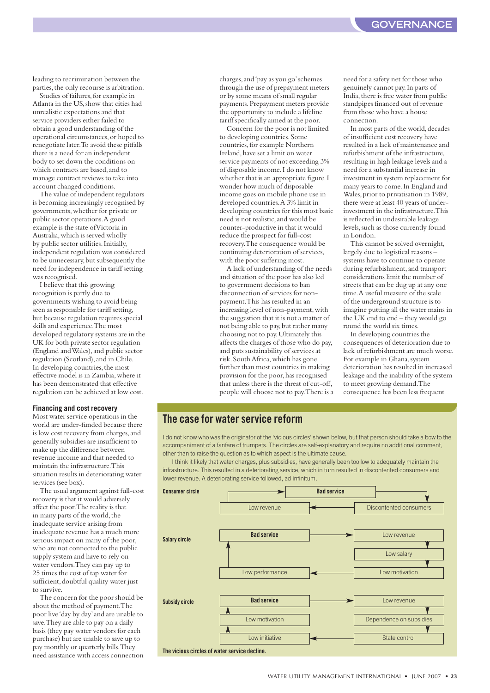leading to recrimination between the parties, the only recourse is arbitration.

Studies of failures, for example in Atlanta in the US, show that cities had unrealistic expectations and that service providers either failed to obtain a good understanding of the operational circumstances, or hoped to renegotiate later. To avoid these pitfalls there is a need for an independent body to set down the conditions on which contracts are based, and to manage contract reviews to take into account changed conditions.

The value of independent regulators is becoming increasingly recognised by governments, whether for private or public sector operations. A good example is the state of Victoria in Australia, which is served wholly by public sector utilities. Initially, independent regulation was considered to be unnecessary, but subsequently the need for independence in tariff setting was recognised.

I believe that this growing recognition is partly due to governments wishing to avoid being seen as responsible for tariff setting, but because regulation requires special skills and experience. The most developed regulatory systems are in the UK for both private sector regulation (England and Wales), and public sector regulation (Scotland), and in Chile. In developing countries, the most effective model is in Zambia, where it has been demonstrated that effective regulation can be achieved at low cost.

#### **Financing and cost recovery**

Most water service operations in the world are under-funded because there is low cost recovery from charges, and generally subsidies are insufficient to make up the difference between revenue income and that needed to maintain the infrastructure. This situation results in deteriorating water services (see box).

The usual argument against full-cost recovery is that it would adversely affect the poor. The reality is that in many parts of the world, the inadequate service arising from inadequate revenue has a much more serious impact on many of the poor, who are not connected to the public supply system and have to rely on water vendors. They can pay up to 25 times the cost of tap water for sufficient, doubtful quality water just to survive.

The concern for the poor should be about the method of payment. The poor live 'day by day' and are unable to save. They are able to pay on a daily basis (they pay water vendors for each purchase) but are unable to save up to pay monthly or quarterly bills. They need assistance with access connection charges, and 'pay as you go' schemes through the use of prepayment meters or by some means of small regular payments. Prepayment meters provide the opportunity to include a lifeline tariff specifically aimed at the poor.

Concern for the poor is not limited to developing countries. Some countries, for example Northern Ireland, have set a limit on water service payments of not exceeding 3% of disposable income. I do not know whether that is an appropriate figure. I wonder how much of disposable income goes on mobile phone use in developed countries. A 3% limit in developing countries for this most basic need is not realistic, and would be counter-productive in that it would reduce the prospect for full-cost recovery. The consequence would be continuing deterioration of services, with the poor suffering most.

A lack of understanding of the needs and situation of the poor has also led to government decisions to ban disconnection of services for nonpayment. This has resulted in an increasing level of non-payment, with the suggestion that it is not a matter of not being able to pay, but rather many choosing not to pay. Ultimately this affects the charges of those who do pay, and puts sustainability of services at risk. South Africa, which has gone further than most countries in making provision for the poor, has recognised that unless there is the threat of cut-off, people will choose not to pay. There is a need for a safety net for those who genuinely cannot pay. In parts of India, there is free water from public standpipes financed out of revenue from those who have a house connection.

In most parts of the world, decades of insufficient cost recovery have resulted in a lack of maintenance and refurbishment of the infrastructure, resulting in high leakage levels and a need for a substantial increase in investment in system replacement for many years to come. In England and Wales, prior to privatisation in 1989, there were at least 40 years of underinvestment in the infrastructure. This is reflected in undesirable leakage levels, such as those currently found in London.

This cannot be solved overnight, largely due to logistical reasons – systems have to continue to operate during refurbishment, and transport considerations limit the number of streets that can be dug up at any one time. A useful measure of the scale of the underground structure is to imagine putting all the water mains in the UK end to end – they would go round the world six times.

In developing countries the consequences of deterioration due to lack of refurbishment are much worse. For example in Ghana, system deterioration has resulted in increased leakage and the inability of the system to meet growing demand. The consequence has been less frequent

#### **The case for water service reform**

I do not know who was the originator of the 'vicious circles' shown below, but that person should take a bow to the accompaniment of a fanfare of trumpets. The circles are self-explanatory and require no additional comment, other than to raise the question as to which aspect is the ultimate cause.

I think it likely that water charges, plus subsidies, have generally been too low to adequately maintain the infrastructure. This resulted in a deteriorating service, which in turn resulted in discontented consumers and lower revenue. A deteriorating service followed, ad infinitum.